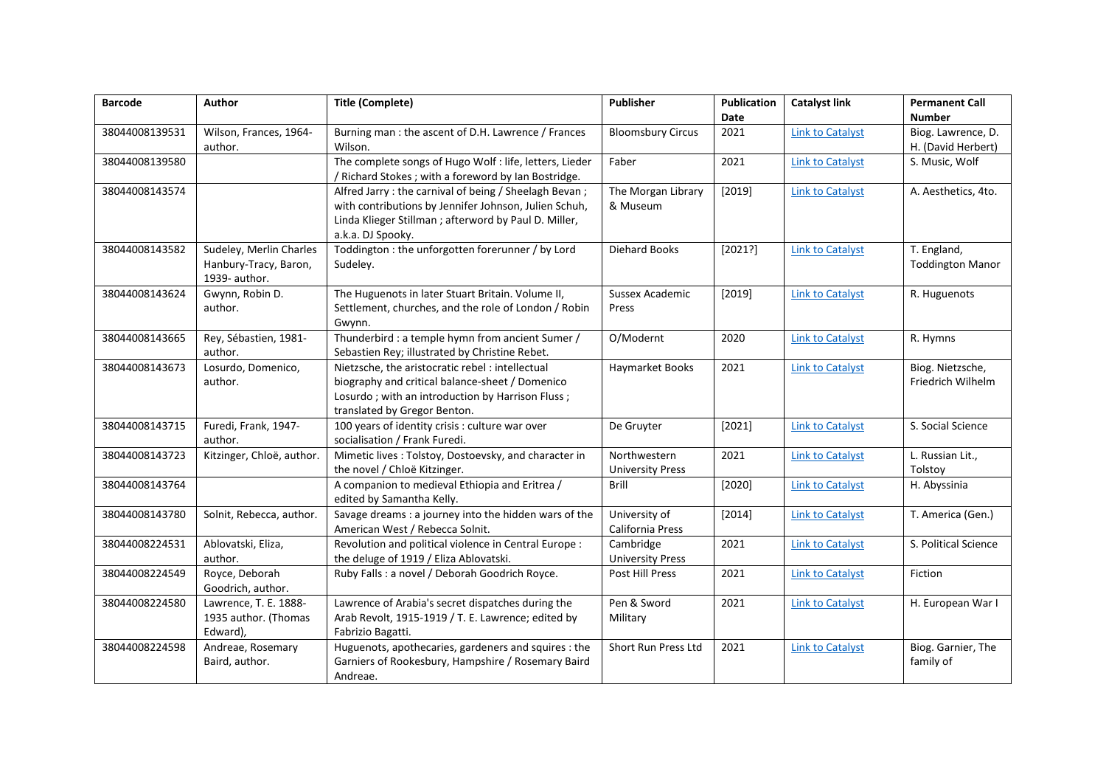| <b>Barcode</b> | Author                    | <b>Title (Complete)</b>                                                          | <b>Publisher</b>         | <b>Publication</b> | <b>Catalyst link</b>    | <b>Permanent Call</b>   |
|----------------|---------------------------|----------------------------------------------------------------------------------|--------------------------|--------------------|-------------------------|-------------------------|
|                |                           |                                                                                  |                          | Date               |                         | <b>Number</b>           |
| 38044008139531 | Wilson, Frances, 1964-    | Burning man : the ascent of D.H. Lawrence / Frances                              | <b>Bloomsbury Circus</b> | 2021               | <b>Link to Catalyst</b> | Biog. Lawrence, D.      |
|                | author.                   | Wilson.                                                                          |                          |                    |                         | H. (David Herbert)      |
| 38044008139580 |                           | The complete songs of Hugo Wolf : life, letters, Lieder                          | Faber                    | 2021               | <b>Link to Catalyst</b> | S. Music, Wolf          |
|                |                           | / Richard Stokes; with a foreword by Ian Bostridge.                              |                          |                    |                         |                         |
| 38044008143574 |                           | Alfred Jarry: the carnival of being / Sheelagh Bevan;                            | The Morgan Library       | [2019]             | <b>Link to Catalyst</b> | A. Aesthetics, 4to.     |
|                |                           | with contributions by Jennifer Johnson, Julien Schuh,                            | & Museum                 |                    |                         |                         |
|                |                           | Linda Klieger Stillman ; afterword by Paul D. Miller,                            |                          |                    |                         |                         |
|                |                           | a.k.a. DJ Spooky.                                                                |                          |                    |                         |                         |
| 38044008143582 | Sudeley, Merlin Charles   | Toddington : the unforgotten forerunner / by Lord                                | <b>Diehard Books</b>     | [2021?]            | <b>Link to Catalyst</b> | T. England,             |
|                | Hanbury-Tracy, Baron,     | Sudeley.                                                                         |                          |                    |                         | <b>Toddington Manor</b> |
|                | 1939- author.             |                                                                                  |                          |                    |                         |                         |
| 38044008143624 | Gwynn, Robin D.           | The Huguenots in later Stuart Britain. Volume II,                                | Sussex Academic          | $[2019]$           | <b>Link to Catalyst</b> | R. Huguenots            |
|                | author.                   | Settlement, churches, and the role of London / Robin                             | Press                    |                    |                         |                         |
|                |                           | Gwynn.                                                                           |                          |                    |                         |                         |
| 38044008143665 | Rey, Sébastien, 1981-     | Thunderbird : a temple hymn from ancient Sumer /                                 | O/Modernt                | 2020               | <b>Link to Catalyst</b> | R. Hymns                |
|                | author.                   | Sebastien Rey; illustrated by Christine Rebet.                                   |                          |                    |                         |                         |
| 38044008143673 | Losurdo, Domenico,        | Nietzsche, the aristocratic rebel : intellectual                                 | Haymarket Books          | 2021               | <b>Link to Catalyst</b> | Biog. Nietzsche,        |
|                | author.                   | biography and critical balance-sheet / Domenico                                  |                          |                    |                         | Friedrich Wilhelm       |
|                |                           | Losurdo; with an introduction by Harrison Fluss;<br>translated by Gregor Benton. |                          |                    |                         |                         |
| 38044008143715 | Furedi, Frank, 1947-      | 100 years of identity crisis : culture war over                                  | De Gruyter               | [2021]             | <b>Link to Catalyst</b> | S. Social Science       |
|                | author.                   | socialisation / Frank Furedi.                                                    |                          |                    |                         |                         |
| 38044008143723 | Kitzinger, Chloë, author. | Mimetic lives: Tolstoy, Dostoevsky, and character in                             | Northwestern             | 2021               | <b>Link to Catalyst</b> | L. Russian Lit.,        |
|                |                           | the novel / Chloë Kitzinger.                                                     | <b>University Press</b>  |                    |                         | Tolstoy                 |
| 38044008143764 |                           | A companion to medieval Ethiopia and Eritrea /                                   | Brill                    | [2020]             | <b>Link to Catalyst</b> | H. Abyssinia            |
|                |                           | edited by Samantha Kelly.                                                        |                          |                    |                         |                         |
| 38044008143780 | Solnit, Rebecca, author.  | Savage dreams : a journey into the hidden wars of the                            | University of            | [2014]             | <b>Link to Catalyst</b> | T. America (Gen.)       |
|                |                           | American West / Rebecca Solnit.                                                  | California Press         |                    |                         |                         |
| 38044008224531 | Ablovatski, Eliza,        | Revolution and political violence in Central Europe :                            | Cambridge                | 2021               | <b>Link to Catalyst</b> | S. Political Science    |
|                | author.                   | the deluge of 1919 / Eliza Ablovatski.                                           | <b>University Press</b>  |                    |                         |                         |
| 38044008224549 | Royce, Deborah            | Ruby Falls : a novel / Deborah Goodrich Royce.                                   | Post Hill Press          | 2021               | <b>Link to Catalyst</b> | Fiction                 |
|                | Goodrich, author.         |                                                                                  |                          |                    |                         |                         |
| 38044008224580 | Lawrence, T. E. 1888-     | Lawrence of Arabia's secret dispatches during the                                | Pen & Sword              | 2021               | <b>Link to Catalyst</b> | H. European War I       |
|                | 1935 author. (Thomas      | Arab Revolt, 1915-1919 / T. E. Lawrence; edited by                               | Military                 |                    |                         |                         |
|                | Edward),                  | Fabrizio Bagatti.                                                                |                          |                    |                         |                         |
| 38044008224598 | Andreae, Rosemary         | Huguenots, apothecaries, gardeners and squires : the                             | Short Run Press Ltd      | 2021               | <b>Link to Catalyst</b> | Biog. Garnier, The      |
|                | Baird, author.            | Garniers of Rookesbury, Hampshire / Rosemary Baird                               |                          |                    |                         | family of               |
|                |                           | Andreae.                                                                         |                          |                    |                         |                         |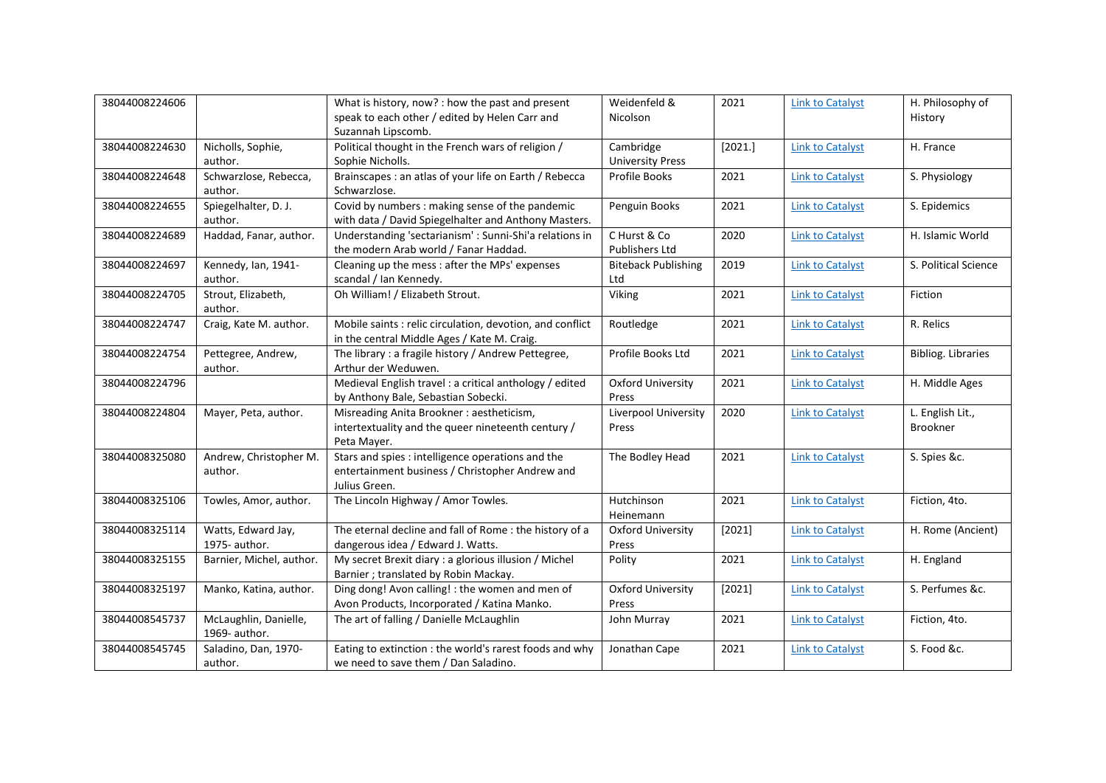| 38044008224606 |                          | What is history, now? : how the past and present          | Weidenfeld &               | 2021    | <b>Link to Catalyst</b> | H. Philosophy of          |
|----------------|--------------------------|-----------------------------------------------------------|----------------------------|---------|-------------------------|---------------------------|
|                |                          | speak to each other / edited by Helen Carr and            | Nicolson                   |         |                         | History                   |
|                |                          | Suzannah Lipscomb.                                        |                            |         |                         |                           |
| 38044008224630 | Nicholls, Sophie,        | Political thought in the French wars of religion /        | Cambridge                  | [2021.] | <b>Link to Catalyst</b> | H. France                 |
|                | author.                  | Sophie Nicholls.                                          | <b>University Press</b>    |         |                         |                           |
| 38044008224648 | Schwarzlose, Rebecca,    | Brainscapes : an atlas of your life on Earth / Rebecca    | <b>Profile Books</b>       | 2021    | <b>Link to Catalyst</b> | S. Physiology             |
|                | author.                  | Schwarzlose.                                              |                            |         |                         |                           |
| 38044008224655 | Spiegelhalter, D. J.     | Covid by numbers : making sense of the pandemic           | Penguin Books              | 2021    | <b>Link to Catalyst</b> | S. Epidemics              |
|                | author.                  | with data / David Spiegelhalter and Anthony Masters.      |                            |         |                         |                           |
| 38044008224689 | Haddad, Fanar, author.   | Understanding 'sectarianism' : Sunni-Shi'a relations in   | C Hurst & Co               | 2020    | <b>Link to Catalyst</b> | H. Islamic World          |
|                |                          | the modern Arab world / Fanar Haddad.                     | Publishers Ltd             |         |                         |                           |
| 38044008224697 | Kennedy, Ian, 1941-      | Cleaning up the mess : after the MPs' expenses            | <b>Biteback Publishing</b> | 2019    | <b>Link to Catalyst</b> | S. Political Science      |
|                | author.                  | scandal / Ian Kennedy.                                    | Ltd                        |         |                         |                           |
| 38044008224705 | Strout, Elizabeth,       | Oh William! / Elizabeth Strout.                           | Viking                     | 2021    | <b>Link to Catalyst</b> | Fiction                   |
|                | author.                  |                                                           |                            |         |                         |                           |
| 38044008224747 | Craig, Kate M. author.   | Mobile saints : relic circulation, devotion, and conflict | Routledge                  | 2021    | <b>Link to Catalyst</b> | R. Relics                 |
|                |                          | in the central Middle Ages / Kate M. Craig.               |                            |         |                         |                           |
| 38044008224754 | Pettegree, Andrew,       | The library : a fragile history / Andrew Pettegree,       | Profile Books Ltd          | 2021    | <b>Link to Catalyst</b> | <b>Bibliog. Libraries</b> |
|                | author.                  | Arthur der Weduwen.                                       |                            |         |                         |                           |
| 38044008224796 |                          | Medieval English travel : a critical anthology / edited   | <b>Oxford University</b>   | 2021    | <b>Link to Catalyst</b> | H. Middle Ages            |
|                |                          | by Anthony Bale, Sebastian Sobecki.                       | Press                      |         |                         |                           |
| 38044008224804 | Mayer, Peta, author.     | Misreading Anita Brookner: aestheticism,                  | Liverpool University       | 2020    | <b>Link to Catalyst</b> | L. English Lit.,          |
|                |                          | intertextuality and the queer nineteenth century /        | Press                      |         |                         | <b>Brookner</b>           |
|                |                          | Peta Mayer.                                               |                            |         |                         |                           |
| 38044008325080 | Andrew, Christopher M.   | Stars and spies : intelligence operations and the         | The Bodley Head            | 2021    | <b>Link to Catalyst</b> | S. Spies &c.              |
|                | author.                  | entertainment business / Christopher Andrew and           |                            |         |                         |                           |
|                |                          | Julius Green.                                             |                            |         |                         |                           |
| 38044008325106 | Towles, Amor, author.    | The Lincoln Highway / Amor Towles.                        | Hutchinson                 | 2021    | <b>Link to Catalyst</b> | Fiction, 4to.             |
|                |                          |                                                           | Heinemann                  |         |                         |                           |
| 38044008325114 | Watts, Edward Jay,       | The eternal decline and fall of Rome: the history of a    | <b>Oxford University</b>   | [2021]  | <b>Link to Catalyst</b> | H. Rome (Ancient)         |
|                | 1975- author.            | dangerous idea / Edward J. Watts.                         | Press                      |         |                         |                           |
| 38044008325155 | Barnier, Michel, author. | My secret Brexit diary : a glorious illusion / Michel     | Polity                     | 2021    | <b>Link to Catalyst</b> | H. England                |
|                |                          | Barnier ; translated by Robin Mackay.                     |                            |         |                         |                           |
| 38044008325197 | Manko, Katina, author.   | Ding dong! Avon calling! : the women and men of           | <b>Oxford University</b>   | [2021]  | <b>Link to Catalyst</b> | S. Perfumes &c.           |
|                |                          | Avon Products, Incorporated / Katina Manko.               | Press                      |         |                         |                           |
| 38044008545737 | McLaughlin, Danielle,    | The art of falling / Danielle McLaughlin                  | John Murray                | 2021    | <b>Link to Catalyst</b> | Fiction, 4to.             |
|                | 1969- author.            |                                                           |                            |         |                         |                           |
| 38044008545745 | Saladino, Dan, 1970-     | Eating to extinction : the world's rarest foods and why   | Jonathan Cape              | 2021    | <b>Link to Catalyst</b> | S. Food &c.               |
|                | author.                  | we need to save them / Dan Saladino.                      |                            |         |                         |                           |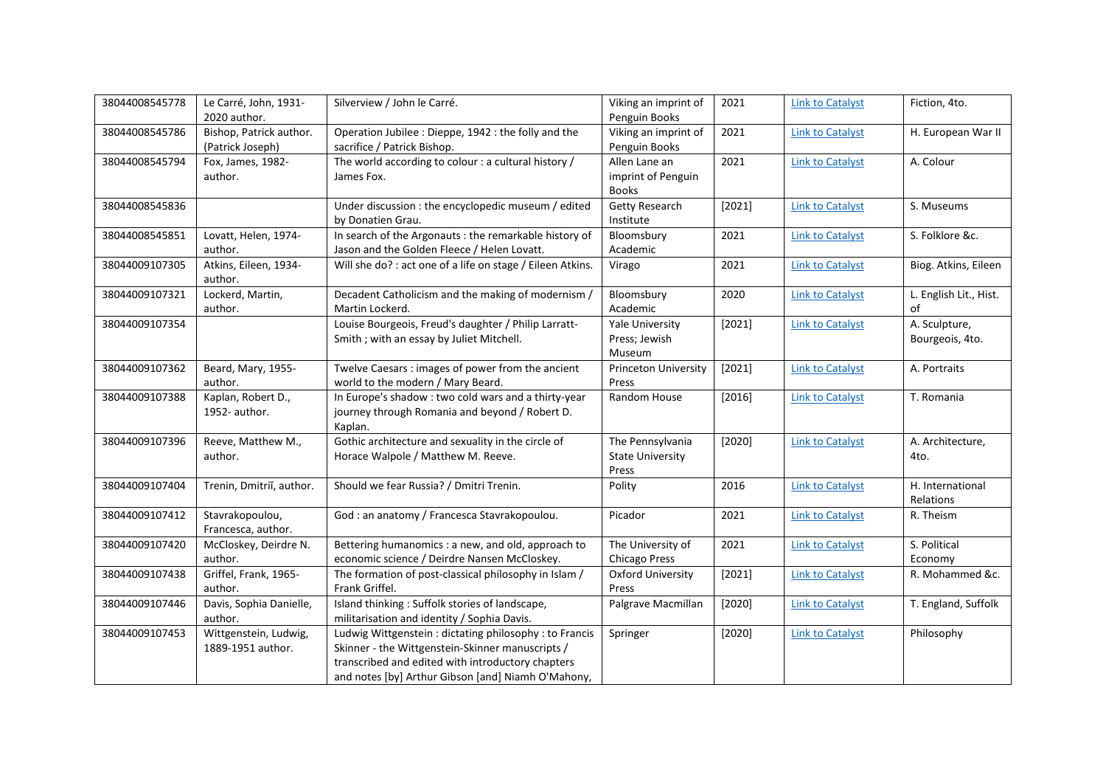| 38044008545778 | Le Carré, John, 1931-<br>2020 author.       | Silverview / John le Carré.                                                         | Viking an imprint of<br>Penguin Books | 2021   | <b>Link to Catalyst</b> | Fiction, 4to.                |
|----------------|---------------------------------------------|-------------------------------------------------------------------------------------|---------------------------------------|--------|-------------------------|------------------------------|
| 38044008545786 | Bishop, Patrick author.<br>(Patrick Joseph) | Operation Jubilee : Dieppe, 1942 : the folly and the<br>sacrifice / Patrick Bishop. | Viking an imprint of<br>Penguin Books | 2021   | <b>Link to Catalyst</b> | H. European War II           |
| 38044008545794 | Fox, James, 1982-                           | The world according to colour : a cultural history /                                | Allen Lane an                         | 2021   | <b>Link to Catalyst</b> | A. Colour                    |
|                | author.                                     | James Fox.                                                                          | imprint of Penguin                    |        |                         |                              |
|                |                                             |                                                                                     | <b>Books</b>                          |        |                         |                              |
| 38044008545836 |                                             | Under discussion : the encyclopedic museum / edited                                 | <b>Getty Research</b>                 | [2021] | <b>Link to Catalyst</b> | S. Museums                   |
|                |                                             | by Donatien Grau.                                                                   | Institute                             |        |                         |                              |
| 38044008545851 | Lovatt, Helen, 1974-                        | In search of the Argonauts : the remarkable history of                              | Bloomsbury                            | 2021   | <b>Link to Catalyst</b> | S. Folklore &c.              |
|                | author.                                     | Jason and the Golden Fleece / Helen Lovatt.                                         | Academic                              |        |                         |                              |
| 38044009107305 | Atkins, Eileen, 1934-                       | Will she do? : act one of a life on stage / Eileen Atkins.                          | Virago                                | 2021   | <b>Link to Catalyst</b> | Biog. Atkins, Eileen         |
|                | author.                                     |                                                                                     |                                       |        |                         |                              |
| 38044009107321 | Lockerd, Martin,                            | Decadent Catholicism and the making of modernism /                                  | Bloomsbury                            | 2020   | <b>Link to Catalyst</b> | L. English Lit., Hist.<br>of |
|                | author.                                     | Martin Lockerd.<br>Louise Bourgeois, Freud's daughter / Philip Larratt-             | Academic                              |        |                         |                              |
| 38044009107354 |                                             |                                                                                     | <b>Yale University</b>                | [2021] | <b>Link to Catalyst</b> | A. Sculpture,                |
|                |                                             | Smith ; with an essay by Juliet Mitchell.                                           | Press; Jewish<br>Museum               |        |                         | Bourgeois, 4to.              |
| 38044009107362 | Beard, Mary, 1955-                          | Twelve Caesars: images of power from the ancient                                    | Princeton University                  | [2021] | <b>Link to Catalyst</b> | A. Portraits                 |
|                | author.                                     | world to the modern / Mary Beard.                                                   | Press                                 |        |                         |                              |
| 38044009107388 | Kaplan, Robert D.,                          | In Europe's shadow : two cold wars and a thirty-year                                | Random House                          | [2016] | <b>Link to Catalyst</b> | T. Romania                   |
|                | 1952-author.                                | journey through Romania and beyond / Robert D.                                      |                                       |        |                         |                              |
|                |                                             | Kaplan.                                                                             |                                       |        |                         |                              |
| 38044009107396 | Reeve, Matthew M.,                          | Gothic architecture and sexuality in the circle of                                  | The Pennsylvania                      | [2020] | <b>Link to Catalyst</b> | A. Architecture,             |
|                | author.                                     | Horace Walpole / Matthew M. Reeve.                                                  | <b>State University</b>               |        |                         | 4to.                         |
|                |                                             |                                                                                     | Press                                 |        |                         |                              |
| 38044009107404 | Trenin, Dmitriĭ, author.                    | Should we fear Russia? / Dmitri Trenin.                                             | Polity                                | 2016   | <b>Link to Catalyst</b> | H. International             |
|                |                                             |                                                                                     |                                       |        |                         | Relations                    |
| 38044009107412 | Stavrakopoulou,                             | God : an anatomy / Francesca Stavrakopoulou.                                        | Picador                               | 2021   | <b>Link to Catalyst</b> | R. Theism                    |
|                | Francesca, author.                          |                                                                                     |                                       |        |                         |                              |
| 38044009107420 | McCloskey, Deirdre N.                       | Bettering humanomics : a new, and old, approach to                                  | The University of                     | 2021   | <b>Link to Catalyst</b> | S. Political                 |
|                | author.                                     | economic science / Deirdre Nansen McCloskey.                                        | Chicago Press                         |        |                         | Economy                      |
| 38044009107438 | Griffel, Frank, 1965-                       | The formation of post-classical philosophy in Islam /                               | <b>Oxford University</b>              | [2021] | <b>Link to Catalyst</b> | R. Mohammed &c.              |
|                | author.                                     | Frank Griffel.                                                                      | Press                                 |        |                         |                              |
| 38044009107446 | Davis, Sophia Danielle,                     | Island thinking: Suffolk stories of landscape,                                      | Palgrave Macmillan                    | [2020] | <b>Link to Catalyst</b> | T. England, Suffolk          |
|                | author.                                     | militarisation and identity / Sophia Davis.                                         |                                       |        |                         |                              |
| 38044009107453 | Wittgenstein, Ludwig,                       | Ludwig Wittgenstein: dictating philosophy: to Francis                               | Springer                              | [2020] | <b>Link to Catalyst</b> | Philosophy                   |
|                | 1889-1951 author.                           | Skinner - the Wittgenstein-Skinner manuscripts /                                    |                                       |        |                         |                              |
|                |                                             | transcribed and edited with introductory chapters                                   |                                       |        |                         |                              |
|                |                                             | and notes [by] Arthur Gibson [and] Niamh O'Mahony,                                  |                                       |        |                         |                              |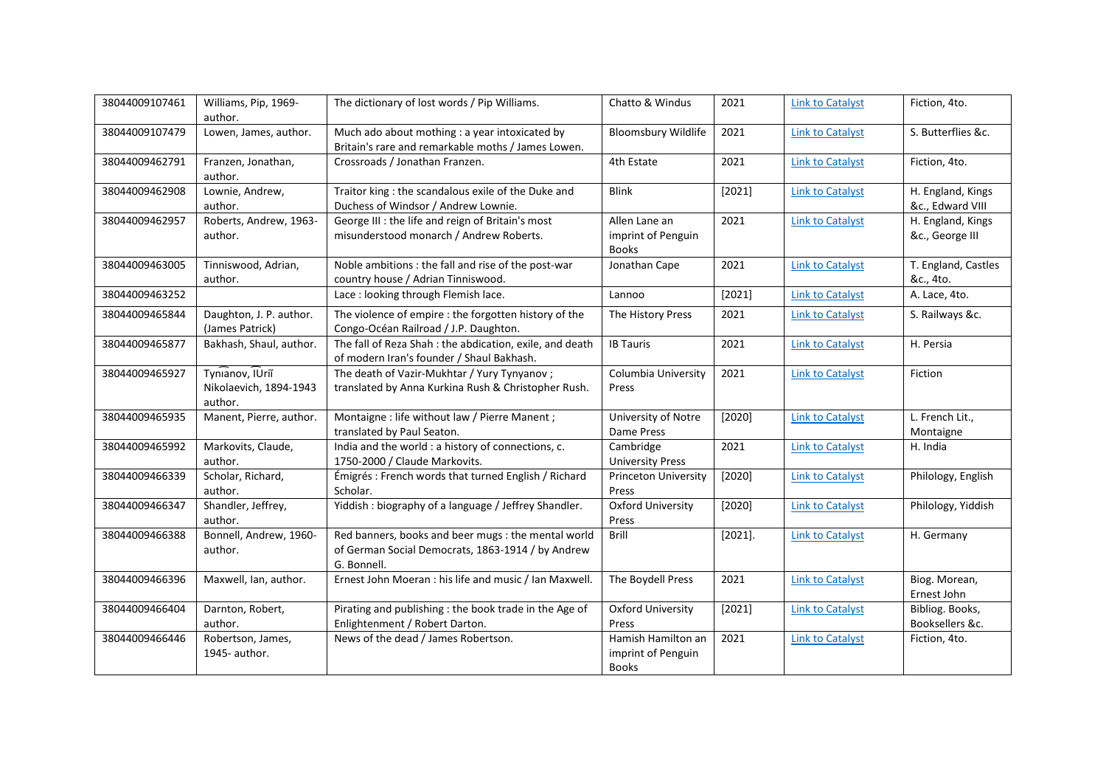| 38044009107461 | Williams, Pip, 1969-<br>author.                      | The dictionary of lost words / Pip Williams.                                                                            | Chatto & Windus                                          | 2021       | <b>Link to Catalyst</b> | Fiction, 4to.                         |
|----------------|------------------------------------------------------|-------------------------------------------------------------------------------------------------------------------------|----------------------------------------------------------|------------|-------------------------|---------------------------------------|
| 38044009107479 | Lowen, James, author.                                | Much ado about mothing : a year intoxicated by<br>Britain's rare and remarkable moths / James Lowen.                    | <b>Bloomsbury Wildlife</b>                               | 2021       | <b>Link to Catalyst</b> | S. Butterflies &c.                    |
| 38044009462791 | Franzen, Jonathan,<br>author.                        | Crossroads / Jonathan Franzen.                                                                                          | 4th Estate                                               | 2021       | <b>Link to Catalyst</b> | Fiction, 4to.                         |
| 38044009462908 | Lownie, Andrew,<br>author.                           | Traitor king : the scandalous exile of the Duke and<br>Duchess of Windsor / Andrew Lownie.                              | <b>Blink</b>                                             | [2021]     | <b>Link to Catalyst</b> | H. England, Kings<br>&c., Edward VIII |
| 38044009462957 | Roberts, Andrew, 1963-<br>author.                    | George III : the life and reign of Britain's most<br>misunderstood monarch / Andrew Roberts.                            | Allen Lane an<br>imprint of Penguin<br><b>Books</b>      | 2021       | <b>Link to Catalyst</b> | H. England, Kings<br>&c., George III  |
| 38044009463005 | Tinniswood, Adrian,<br>author.                       | Noble ambitions : the fall and rise of the post-war<br>country house / Adrian Tinniswood.                               | Jonathan Cape                                            | 2021       | <b>Link to Catalyst</b> | T. England, Castles<br>&c., 4to.      |
| 38044009463252 |                                                      | Lace: looking through Flemish lace.                                                                                     | Lannoo                                                   | [2021]     | <b>Link to Catalyst</b> | A. Lace, 4to.                         |
| 38044009465844 | Daughton, J. P. author.<br>(James Patrick)           | The violence of empire : the forgotten history of the<br>Congo-Océan Railroad / J.P. Daughton.                          | The History Press                                        | 2021       | <b>Link to Catalyst</b> | S. Railways &c.                       |
| 38044009465877 | Bakhash, Shaul, author.                              | The fall of Reza Shah : the abdication, exile, and death<br>of modern Iran's founder / Shaul Bakhash.                   | <b>IB Tauris</b>                                         | 2021       | <b>Link to Catalyst</b> | H. Persia                             |
| 38044009465927 | Tynianov, IUrii<br>Nikolaevich, 1894-1943<br>author. | The death of Vazir-Mukhtar / Yury Tynyanov;<br>translated by Anna Kurkina Rush & Christopher Rush.                      | Columbia University<br>Press                             | 2021       | <b>Link to Catalyst</b> | Fiction                               |
| 38044009465935 | Manent, Pierre, author.                              | Montaigne : life without law / Pierre Manent ;<br>translated by Paul Seaton.                                            | University of Notre<br>Dame Press                        | [2020]     | <b>Link to Catalyst</b> | L. French Lit.,<br>Montaigne          |
| 38044009465992 | Markovits, Claude,<br>author.                        | India and the world : a history of connections, c.<br>1750-2000 / Claude Markovits.                                     | Cambridge<br><b>University Press</b>                     | 2021       | <b>Link to Catalyst</b> | H. India                              |
| 38044009466339 | Scholar, Richard,<br>author.                         | Émigrés : French words that turned English / Richard<br>Scholar.                                                        | <b>Princeton University</b><br>Press                     | [2020]     | <b>Link to Catalyst</b> | Philology, English                    |
| 38044009466347 | Shandler, Jeffrey,<br>author.                        | Yiddish: biography of a language / Jeffrey Shandler.                                                                    | <b>Oxford University</b><br>Press                        | [2020]     | <b>Link to Catalyst</b> | Philology, Yiddish                    |
| 38044009466388 | Bonnell, Andrew, 1960-<br>author.                    | Red banners, books and beer mugs : the mental world<br>of German Social Democrats, 1863-1914 / by Andrew<br>G. Bonnell. | Brill                                                    | $[2021]$ . | <b>Link to Catalyst</b> | H. Germany                            |
| 38044009466396 | Maxwell, Ian, author.                                | Ernest John Moeran : his life and music / Ian Maxwell.                                                                  | The Boydell Press                                        | 2021       | <b>Link to Catalyst</b> | Biog. Morean,<br>Ernest John          |
| 38044009466404 | Darnton, Robert,<br>author.                          | Pirating and publishing : the book trade in the Age of<br>Enlightenment / Robert Darton.                                | <b>Oxford University</b><br>Press                        | [2021]     | <b>Link to Catalyst</b> | Bibliog. Books,<br>Booksellers &c.    |
| 38044009466446 | Robertson, James,<br>1945- author.                   | News of the dead / James Robertson.                                                                                     | Hamish Hamilton an<br>imprint of Penguin<br><b>Books</b> | 2021       | <b>Link to Catalyst</b> | Fiction, 4to.                         |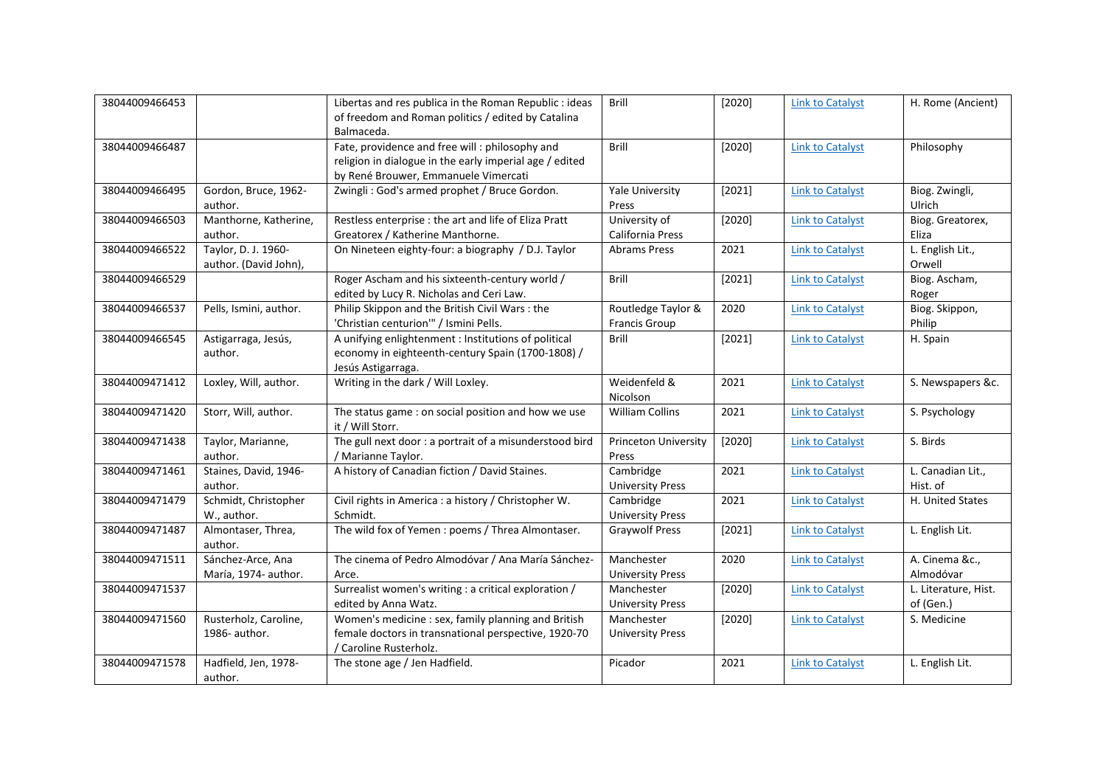| 38044009466453 |                                              | Libertas and res publica in the Roman Republic : ideas                                                                                             | Brill                                      | [2020] | <b>Link to Catalyst</b> | H. Rome (Ancient)                 |
|----------------|----------------------------------------------|----------------------------------------------------------------------------------------------------------------------------------------------------|--------------------------------------------|--------|-------------------------|-----------------------------------|
|                |                                              | of freedom and Roman politics / edited by Catalina<br>Balmaceda.                                                                                   |                                            |        |                         |                                   |
| 38044009466487 |                                              | Fate, providence and free will : philosophy and<br>religion in dialogue in the early imperial age / edited<br>by René Brouwer, Emmanuele Vimercati | <b>Brill</b>                               | [2020] | <b>Link to Catalyst</b> | Philosophy                        |
| 38044009466495 | Gordon, Bruce, 1962-<br>author.              | Zwingli: God's armed prophet / Bruce Gordon.                                                                                                       | <b>Yale University</b><br>Press            | [2021] | <b>Link to Catalyst</b> | Biog. Zwingli,<br>Ulrich          |
| 38044009466503 | Manthorne, Katherine,<br>author.             | Restless enterprise : the art and life of Eliza Pratt<br>Greatorex / Katherine Manthorne.                                                          | University of<br>California Press          | [2020] | <b>Link to Catalyst</b> | Biog. Greatorex,<br>Eliza         |
| 38044009466522 | Taylor, D. J. 1960-<br>author. (David John), | On Nineteen eighty-four: a biography / D.J. Taylor                                                                                                 | <b>Abrams Press</b>                        | 2021   | <b>Link to Catalyst</b> | L. English Lit.,<br>Orwell        |
| 38044009466529 |                                              | Roger Ascham and his sixteenth-century world /<br>edited by Lucy R. Nicholas and Ceri Law.                                                         | <b>Brill</b>                               | [2021] | <b>Link to Catalyst</b> | Biog. Ascham,<br>Roger            |
| 38044009466537 | Pells, Ismini, author.                       | Philip Skippon and the British Civil Wars: the<br>'Christian centurion'" / Ismini Pells.                                                           | Routledge Taylor &<br><b>Francis Group</b> | 2020   | <b>Link to Catalyst</b> | Biog. Skippon,<br>Philip          |
| 38044009466545 | Astigarraga, Jesús,<br>author.               | A unifying enlightenment : Institutions of political<br>economy in eighteenth-century Spain (1700-1808) /<br>Jesús Astigarraga.                    | <b>Brill</b>                               | [2021] | <b>Link to Catalyst</b> | H. Spain                          |
| 38044009471412 | Loxley, Will, author.                        | Writing in the dark / Will Loxley.                                                                                                                 | Weidenfeld &<br>Nicolson                   | 2021   | <b>Link to Catalyst</b> | S. Newspapers &c.                 |
| 38044009471420 | Storr, Will, author.                         | The status game: on social position and how we use<br>it / Will Storr.                                                                             | <b>William Collins</b>                     | 2021   | <b>Link to Catalyst</b> | S. Psychology                     |
| 38044009471438 | Taylor, Marianne,<br>author.                 | The gull next door : a portrait of a misunderstood bird<br>/ Marianne Taylor.                                                                      | <b>Princeton University</b><br>Press       | [2020] | <b>Link to Catalyst</b> | S. Birds                          |
| 38044009471461 | Staines, David, 1946-<br>author.             | A history of Canadian fiction / David Staines.                                                                                                     | Cambridge<br><b>University Press</b>       | 2021   | <b>Link to Catalyst</b> | L. Canadian Lit.,<br>Hist. of     |
| 38044009471479 | Schmidt, Christopher<br>W., author.          | Civil rights in America : a history / Christopher W.<br>Schmidt.                                                                                   | Cambridge<br><b>University Press</b>       | 2021   | <b>Link to Catalyst</b> | H. United States                  |
| 38044009471487 | Almontaser, Threa,<br>author.                | The wild fox of Yemen : poems / Threa Almontaser.                                                                                                  | <b>Graywolf Press</b>                      | [2021] | <b>Link to Catalyst</b> | L. English Lit.                   |
| 38044009471511 | Sánchez-Arce, Ana<br>María, 1974- author.    | The cinema of Pedro Almodóvar / Ana María Sánchez-<br>Arce.                                                                                        | Manchester<br><b>University Press</b>      | 2020   | <b>Link to Catalyst</b> | A. Cinema &c.,<br>Almodóvar       |
| 38044009471537 |                                              | Surrealist women's writing : a critical exploration /<br>edited by Anna Watz.                                                                      | Manchester<br><b>University Press</b>      | [2020] | <b>Link to Catalyst</b> | L. Literature, Hist.<br>of (Gen.) |
| 38044009471560 | Rusterholz, Caroline,<br>1986- author.       | Women's medicine : sex, family planning and British<br>female doctors in transnational perspective, 1920-70<br>/ Caroline Rusterholz.              | Manchester<br><b>University Press</b>      | [2020] | <b>Link to Catalyst</b> | S. Medicine                       |
| 38044009471578 | Hadfield, Jen, 1978-<br>author.              | The stone age / Jen Hadfield.                                                                                                                      | Picador                                    | 2021   | <b>Link to Catalyst</b> | L. English Lit.                   |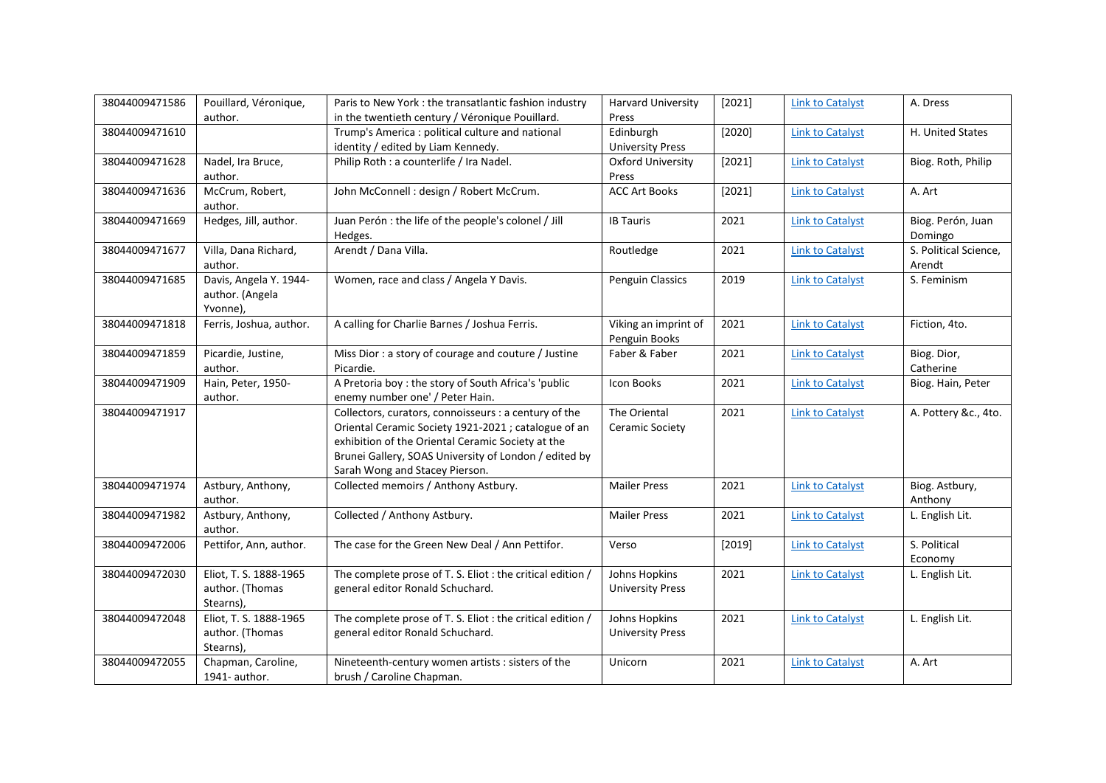| 38044009471586 | Pouillard, Véronique,   | Paris to New York: the transatlantic fashion industry      | <b>Harvard University</b> | [2021] | <b>Link to Catalyst</b> | A. Dress              |
|----------------|-------------------------|------------------------------------------------------------|---------------------------|--------|-------------------------|-----------------------|
|                | author.                 | in the twentieth century / Véronique Pouillard.            | Press                     |        |                         |                       |
| 38044009471610 |                         | Trump's America : political culture and national           | Edinburgh                 | [2020] | <b>Link to Catalyst</b> | H. United States      |
|                |                         | identity / edited by Liam Kennedy.                         | <b>University Press</b>   |        |                         |                       |
| 38044009471628 | Nadel, Ira Bruce,       | Philip Roth : a counterlife / Ira Nadel.                   | <b>Oxford University</b>  | [2021] | <b>Link to Catalyst</b> | Biog. Roth, Philip    |
|                | author.                 |                                                            | Press                     |        |                         |                       |
| 38044009471636 | McCrum, Robert,         | John McConnell : design / Robert McCrum.                   | <b>ACC Art Books</b>      | [2021] | <b>Link to Catalyst</b> | A. Art                |
|                | author.                 |                                                            |                           |        |                         |                       |
| 38044009471669 | Hedges, Jill, author.   | Juan Perón : the life of the people's colonel / Jill       | <b>IB Tauris</b>          | 2021   | <b>Link to Catalyst</b> | Biog. Perón, Juan     |
|                |                         | Hedges.                                                    |                           |        |                         | Domingo               |
| 38044009471677 | Villa, Dana Richard,    | Arendt / Dana Villa.                                       | Routledge                 | 2021   | <b>Link to Catalyst</b> | S. Political Science, |
|                | author.                 |                                                            |                           |        |                         | Arendt                |
| 38044009471685 | Davis, Angela Y. 1944-  | Women, race and class / Angela Y Davis.                    | Penguin Classics          | 2019   | <b>Link to Catalyst</b> | S. Feminism           |
|                | author. (Angela         |                                                            |                           |        |                         |                       |
|                | Yvonne),                |                                                            |                           |        |                         |                       |
| 38044009471818 | Ferris, Joshua, author. | A calling for Charlie Barnes / Joshua Ferris.              | Viking an imprint of      | 2021   | <b>Link to Catalyst</b> | Fiction, 4to.         |
|                |                         |                                                            | Penguin Books             |        |                         |                       |
| 38044009471859 | Picardie, Justine,      | Miss Dior: a story of courage and couture / Justine        | Faber & Faber             | 2021   | <b>Link to Catalyst</b> | Biog. Dior,           |
|                | author.                 | Picardie.                                                  |                           |        |                         | Catherine             |
| 38044009471909 | Hain, Peter, 1950-      | A Pretoria boy : the story of South Africa's 'public       | Icon Books                | 2021   | <b>Link to Catalyst</b> | Biog. Hain, Peter     |
|                | author.                 | enemy number one' / Peter Hain.                            |                           |        |                         |                       |
| 38044009471917 |                         | Collectors, curators, connoisseurs : a century of the      | The Oriental              | 2021   | <b>Link to Catalyst</b> | A. Pottery &c., 4to.  |
|                |                         | Oriental Ceramic Society 1921-2021 ; catalogue of an       | Ceramic Society           |        |                         |                       |
|                |                         | exhibition of the Oriental Ceramic Society at the          |                           |        |                         |                       |
|                |                         | Brunei Gallery, SOAS University of London / edited by      |                           |        |                         |                       |
|                |                         | Sarah Wong and Stacey Pierson.                             |                           |        |                         |                       |
| 38044009471974 | Astbury, Anthony,       | Collected memoirs / Anthony Astbury.                       | <b>Mailer Press</b>       | 2021   | <b>Link to Catalyst</b> | Biog. Astbury,        |
|                | author.                 |                                                            |                           |        |                         | Anthony               |
| 38044009471982 | Astbury, Anthony,       | Collected / Anthony Astbury.                               | <b>Mailer Press</b>       | 2021   | <b>Link to Catalyst</b> | L. English Lit.       |
|                | author.                 |                                                            |                           |        |                         |                       |
| 38044009472006 | Pettifor, Ann, author.  | The case for the Green New Deal / Ann Pettifor.            | Verso                     | [2019] | <b>Link to Catalyst</b> | S. Political          |
|                |                         |                                                            |                           |        |                         | Economy               |
| 38044009472030 | Eliot, T. S. 1888-1965  | The complete prose of T. S. Eliot : the critical edition / | Johns Hopkins             | 2021   | <b>Link to Catalyst</b> | L. English Lit.       |
|                | author. (Thomas         | general editor Ronald Schuchard.                           | <b>University Press</b>   |        |                         |                       |
|                | Stearns),               |                                                            |                           |        |                         |                       |
| 38044009472048 | Eliot, T. S. 1888-1965  | The complete prose of T. S. Eliot : the critical edition / | Johns Hopkins             | 2021   | <b>Link to Catalyst</b> | L. English Lit.       |
|                | author. (Thomas         | general editor Ronald Schuchard.                           | <b>University Press</b>   |        |                         |                       |
|                | Stearns),               |                                                            |                           |        |                         |                       |
| 38044009472055 | Chapman, Caroline,      | Nineteenth-century women artists : sisters of the          | Unicorn                   | 2021   | <b>Link to Catalyst</b> | A. Art                |
|                | 1941- author.           | brush / Caroline Chapman.                                  |                           |        |                         |                       |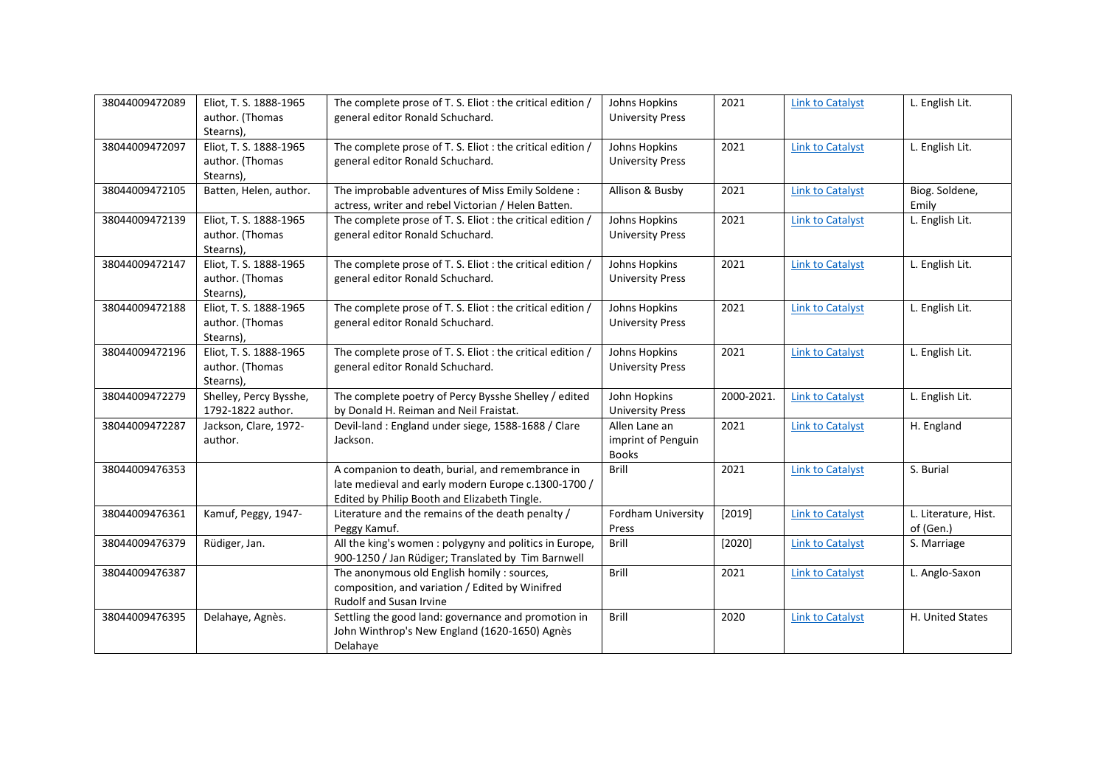| 38044009472089 | Eliot, T. S. 1888-1965<br>author. (Thomas                           | The complete prose of T. S. Eliot : the critical edition /<br>general editor Ronald Schuchard.                                                          | Johns Hopkins<br><b>University Press</b>            | 2021       | <b>Link to Catalyst</b> | L. English Lit.                   |
|----------------|---------------------------------------------------------------------|---------------------------------------------------------------------------------------------------------------------------------------------------------|-----------------------------------------------------|------------|-------------------------|-----------------------------------|
| 38044009472097 | Stearns),<br>Eliot, T. S. 1888-1965<br>author. (Thomas<br>Stearns), | The complete prose of T. S. Eliot : the critical edition /<br>general editor Ronald Schuchard.                                                          | Johns Hopkins<br><b>University Press</b>            | 2021       | <b>Link to Catalyst</b> | L. English Lit.                   |
| 38044009472105 | Batten, Helen, author.                                              | The improbable adventures of Miss Emily Soldene:<br>actress, writer and rebel Victorian / Helen Batten.                                                 | Allison & Busby                                     | 2021       | <b>Link to Catalyst</b> | Biog. Soldene,<br>Emily           |
| 38044009472139 | Eliot, T. S. 1888-1965<br>author. (Thomas<br>Stearns),              | The complete prose of T. S. Eliot : the critical edition /<br>general editor Ronald Schuchard.                                                          | Johns Hopkins<br><b>University Press</b>            | 2021       | <b>Link to Catalyst</b> | L. English Lit.                   |
| 38044009472147 | Eliot, T. S. 1888-1965<br>author. (Thomas<br>Stearns),              | The complete prose of T. S. Eliot : the critical edition /<br>general editor Ronald Schuchard.                                                          | Johns Hopkins<br><b>University Press</b>            | 2021       | <b>Link to Catalyst</b> | L. English Lit.                   |
| 38044009472188 | Eliot, T. S. 1888-1965<br>author. (Thomas<br>Stearns),              | The complete prose of T. S. Eliot : the critical edition /<br>general editor Ronald Schuchard.                                                          | Johns Hopkins<br><b>University Press</b>            | 2021       | <b>Link to Catalyst</b> | L. English Lit.                   |
| 38044009472196 | Eliot, T. S. 1888-1965<br>author. (Thomas<br>Stearns),              | The complete prose of T. S. Eliot : the critical edition /<br>general editor Ronald Schuchard.                                                          | Johns Hopkins<br><b>University Press</b>            | 2021       | <b>Link to Catalyst</b> | L. English Lit.                   |
| 38044009472279 | Shelley, Percy Bysshe,<br>1792-1822 author.                         | The complete poetry of Percy Bysshe Shelley / edited<br>by Donald H. Reiman and Neil Fraistat.                                                          | John Hopkins<br><b>University Press</b>             | 2000-2021. | <b>Link to Catalyst</b> | L. English Lit.                   |
| 38044009472287 | Jackson, Clare, 1972-<br>author.                                    | Devil-land : England under siege, 1588-1688 / Clare<br>Jackson.                                                                                         | Allen Lane an<br>imprint of Penguin<br><b>Books</b> | 2021       | <b>Link to Catalyst</b> | H. England                        |
| 38044009476353 |                                                                     | A companion to death, burial, and remembrance in<br>late medieval and early modern Europe c.1300-1700 /<br>Edited by Philip Booth and Elizabeth Tingle. | Brill                                               | 2021       | <b>Link to Catalyst</b> | S. Burial                         |
| 38044009476361 | Kamuf, Peggy, 1947-                                                 | Literature and the remains of the death penalty /<br>Peggy Kamuf.                                                                                       | Fordham University<br>Press                         | [2019]     | <b>Link to Catalyst</b> | L. Literature, Hist.<br>of (Gen.) |
| 38044009476379 | Rüdiger, Jan.                                                       | All the king's women : polygyny and politics in Europe,<br>900-1250 / Jan Rüdiger; Translated by Tim Barnwell                                           | Brill                                               | [2020]     | <b>Link to Catalyst</b> | S. Marriage                       |
| 38044009476387 |                                                                     | The anonymous old English homily : sources,<br>composition, and variation / Edited by Winifred<br>Rudolf and Susan Irvine                               | <b>Brill</b>                                        | 2021       | <b>Link to Catalyst</b> | L. Anglo-Saxon                    |
| 38044009476395 | Delahaye, Agnès.                                                    | Settling the good land: governance and promotion in<br>John Winthrop's New England (1620-1650) Agnès<br>Delahaye                                        | Brill                                               | 2020       | <b>Link to Catalyst</b> | H. United States                  |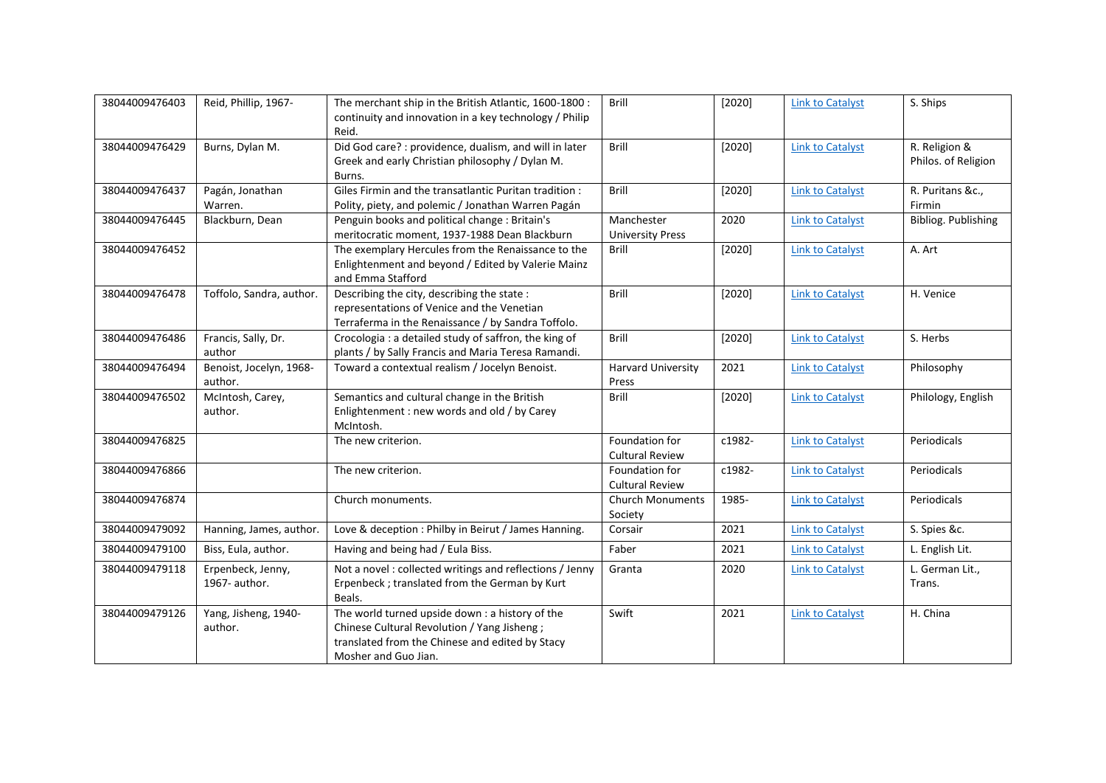| 38044009476403 | Reid, Phillip, 1967-               | The merchant ship in the British Atlantic, 1600-1800:<br>continuity and innovation in a key technology / Philip | <b>Brill</b>                          | [2020] | <b>Link to Catalyst</b> | S. Ships            |
|----------------|------------------------------------|-----------------------------------------------------------------------------------------------------------------|---------------------------------------|--------|-------------------------|---------------------|
|                |                                    | Reid.                                                                                                           |                                       |        |                         |                     |
| 38044009476429 | Burns, Dylan M.                    | Did God care? : providence, dualism, and will in later                                                          | Brill                                 | [2020] | <b>Link to Catalyst</b> | R. Religion &       |
|                |                                    | Greek and early Christian philosophy / Dylan M.                                                                 |                                       |        |                         | Philos. of Religion |
|                |                                    | Burns.                                                                                                          |                                       |        |                         |                     |
| 38044009476437 | Pagán, Jonathan                    | Giles Firmin and the transatlantic Puritan tradition:                                                           | Brill                                 | [2020] | <b>Link to Catalyst</b> | R. Puritans &c.,    |
|                | Warren.                            | Polity, piety, and polemic / Jonathan Warren Pagán                                                              |                                       |        |                         | Firmin              |
| 38044009476445 | Blackburn, Dean                    | Penguin books and political change : Britain's<br>meritocratic moment, 1937-1988 Dean Blackburn                 | Manchester<br><b>University Press</b> | 2020   | <b>Link to Catalyst</b> | Bibliog. Publishing |
| 38044009476452 |                                    | The exemplary Hercules from the Renaissance to the                                                              | Brill                                 | [2020] | <b>Link to Catalyst</b> | A. Art              |
|                |                                    | Enlightenment and beyond / Edited by Valerie Mainz                                                              |                                       |        |                         |                     |
|                |                                    | and Emma Stafford                                                                                               |                                       |        |                         |                     |
| 38044009476478 | Toffolo, Sandra, author.           | Describing the city, describing the state :                                                                     | Brill                                 | [2020] | <b>Link to Catalyst</b> | H. Venice           |
|                |                                    | representations of Venice and the Venetian                                                                      |                                       |        |                         |                     |
|                |                                    | Terraferma in the Renaissance / by Sandra Toffolo.                                                              |                                       |        |                         |                     |
| 38044009476486 | Francis, Sally, Dr.                | Crocologia : a detailed study of saffron, the king of                                                           | Brill                                 | [2020] | <b>Link to Catalyst</b> | S. Herbs            |
|                | author                             | plants / by Sally Francis and Maria Teresa Ramandi.                                                             |                                       |        |                         |                     |
| 38044009476494 | Benoist, Jocelyn, 1968-<br>author. | Toward a contextual realism / Jocelyn Benoist.                                                                  | <b>Harvard University</b><br>Press    | 2021   | <b>Link to Catalyst</b> | Philosophy          |
| 38044009476502 | McIntosh, Carey,                   | Semantics and cultural change in the British                                                                    | <b>Brill</b>                          | [2020] | <b>Link to Catalyst</b> | Philology, English  |
|                | author.                            | Enlightenment : new words and old / by Carey<br>McIntosh.                                                       |                                       |        |                         |                     |
| 38044009476825 |                                    | The new criterion.                                                                                              | Foundation for                        | c1982- | <b>Link to Catalyst</b> | Periodicals         |
|                |                                    |                                                                                                                 | <b>Cultural Review</b>                |        |                         |                     |
| 38044009476866 |                                    | The new criterion.                                                                                              | Foundation for                        | c1982- | <b>Link to Catalyst</b> | Periodicals         |
|                |                                    |                                                                                                                 | <b>Cultural Review</b>                |        |                         |                     |
| 38044009476874 |                                    | Church monuments.                                                                                               | Church Monuments                      | 1985-  | <b>Link to Catalyst</b> | Periodicals         |
| 38044009479092 |                                    |                                                                                                                 | Society                               |        |                         |                     |
|                | Hanning, James, author.            | Love & deception : Philby in Beirut / James Hanning.                                                            | Corsair                               | 2021   | <b>Link to Catalyst</b> | S. Spies &c.        |
| 38044009479100 | Biss, Eula, author.                | Having and being had / Eula Biss.                                                                               | Faber                                 | 2021   | <b>Link to Catalyst</b> | L. English Lit.     |
| 38044009479118 | Erpenbeck, Jenny,                  | Not a novel : collected writings and reflections / Jenny                                                        | Granta                                | 2020   | <b>Link to Catalyst</b> | L. German Lit.,     |
|                | 1967- author.                      | Erpenbeck ; translated from the German by Kurt                                                                  |                                       |        |                         | Trans.              |
|                |                                    | Beals.                                                                                                          |                                       |        |                         |                     |
| 38044009479126 | Yang, Jisheng, 1940-               | The world turned upside down : a history of the                                                                 | Swift                                 | 2021   | <b>Link to Catalyst</b> | H. China            |
|                | author.                            | Chinese Cultural Revolution / Yang Jisheng;<br>translated from the Chinese and edited by Stacy                  |                                       |        |                         |                     |
|                |                                    | Mosher and Guo Jian.                                                                                            |                                       |        |                         |                     |
|                |                                    |                                                                                                                 |                                       |        |                         |                     |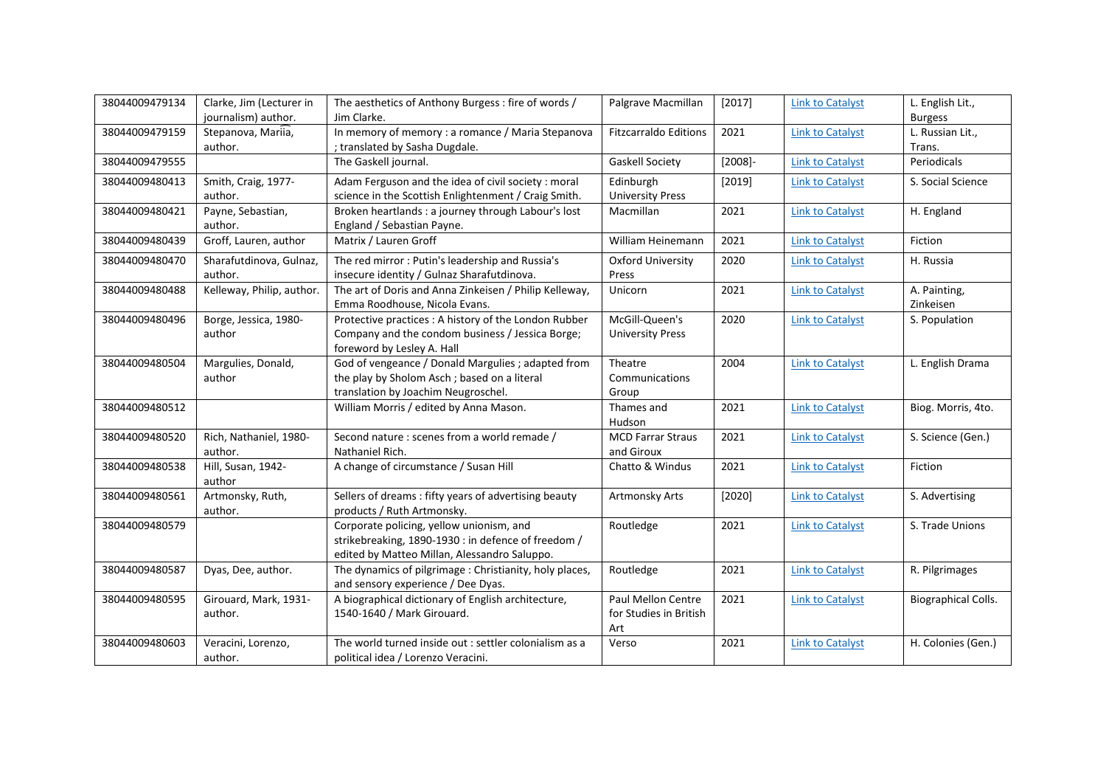| 38044009479134 | Clarke, Jim (Lecturer in<br>journalism) author. | The aesthetics of Anthony Burgess: fire of words /<br>Jim Clarke.                                                                               | Palgrave Macmillan                                  | [2017]     | <b>Link to Catalyst</b> | L. English Lit.,<br><b>Burgess</b> |
|----------------|-------------------------------------------------|-------------------------------------------------------------------------------------------------------------------------------------------------|-----------------------------------------------------|------------|-------------------------|------------------------------------|
| 38044009479159 | Stepanova, Mariia,<br>author.                   | In memory of memory : a romance / Maria Stepanova<br>; translated by Sasha Dugdale.                                                             | <b>Fitzcarraldo Editions</b>                        | 2021       | <b>Link to Catalyst</b> | L. Russian Lit.,<br>Trans.         |
| 38044009479555 |                                                 | The Gaskell journal.                                                                                                                            | <b>Gaskell Society</b>                              | $[2008]$ - | <b>Link to Catalyst</b> | Periodicals                        |
| 38044009480413 | Smith, Craig, 1977-<br>author.                  | Adam Ferguson and the idea of civil society : moral<br>science in the Scottish Enlightenment / Craig Smith.                                     | Edinburgh<br><b>University Press</b>                | $[2019]$   | <b>Link to Catalyst</b> | S. Social Science                  |
| 38044009480421 | Payne, Sebastian,<br>author.                    | Broken heartlands : a journey through Labour's lost<br>England / Sebastian Payne.                                                               | Macmillan                                           | 2021       | <b>Link to Catalyst</b> | H. England                         |
| 38044009480439 | Groff, Lauren, author                           | Matrix / Lauren Groff                                                                                                                           | William Heinemann                                   | 2021       | <b>Link to Catalyst</b> | Fiction                            |
| 38044009480470 | Sharafutdinova, Gulnaz,<br>author.              | The red mirror: Putin's leadership and Russia's<br>insecure identity / Gulnaz Sharafutdinova.                                                   | <b>Oxford University</b><br>Press                   | 2020       | <b>Link to Catalyst</b> | H. Russia                          |
| 38044009480488 | Kelleway, Philip, author.                       | The art of Doris and Anna Zinkeisen / Philip Kelleway,<br>Emma Roodhouse, Nicola Evans.                                                         | Unicorn                                             | 2021       | <b>Link to Catalyst</b> | A. Painting,<br>Zinkeisen          |
| 38044009480496 | Borge, Jessica, 1980-<br>author                 | Protective practices : A history of the London Rubber<br>Company and the condom business / Jessica Borge;<br>foreword by Lesley A. Hall         | McGill-Queen's<br><b>University Press</b>           | 2020       | <b>Link to Catalyst</b> | S. Population                      |
| 38044009480504 | Margulies, Donald,<br>author                    | God of vengeance / Donald Margulies ; adapted from<br>the play by Sholom Asch; based on a literal<br>translation by Joachim Neugroschel.        | Theatre<br>Communications<br>Group                  | 2004       | <b>Link to Catalyst</b> | L. English Drama                   |
| 38044009480512 |                                                 | William Morris / edited by Anna Mason.                                                                                                          | Thames and<br>Hudson                                | 2021       | <b>Link to Catalyst</b> | Biog. Morris, 4to.                 |
| 38044009480520 | Rich, Nathaniel, 1980-<br>author.               | Second nature : scenes from a world remade /<br>Nathaniel Rich.                                                                                 | <b>MCD Farrar Straus</b><br>and Giroux              | 2021       | <b>Link to Catalyst</b> | S. Science (Gen.)                  |
| 38044009480538 | Hill, Susan, 1942-<br>author                    | A change of circumstance / Susan Hill                                                                                                           | Chatto & Windus                                     | 2021       | <b>Link to Catalyst</b> | Fiction                            |
| 38044009480561 | Artmonsky, Ruth,<br>author.                     | Sellers of dreams : fifty years of advertising beauty<br>products / Ruth Artmonsky.                                                             | Artmonsky Arts                                      | [2020]     | <b>Link to Catalyst</b> | S. Advertising                     |
| 38044009480579 |                                                 | Corporate policing, yellow unionism, and<br>strikebreaking, 1890-1930 : in defence of freedom /<br>edited by Matteo Millan, Alessandro Saluppo. | Routledge                                           | 2021       | <b>Link to Catalyst</b> | S. Trade Unions                    |
| 38044009480587 | Dyas, Dee, author.                              | The dynamics of pilgrimage: Christianity, holy places,<br>and sensory experience / Dee Dyas.                                                    | Routledge                                           | 2021       | <b>Link to Catalyst</b> | R. Pilgrimages                     |
| 38044009480595 | Girouard, Mark, 1931-<br>author.                | A biographical dictionary of English architecture,<br>1540-1640 / Mark Girouard.                                                                | Paul Mellon Centre<br>for Studies in British<br>Art | 2021       | <b>Link to Catalyst</b> | Biographical Colls.                |
| 38044009480603 | Veracini, Lorenzo,<br>author.                   | The world turned inside out : settler colonialism as a<br>political idea / Lorenzo Veracini.                                                    | Verso                                               | 2021       | <b>Link to Catalyst</b> | H. Colonies (Gen.)                 |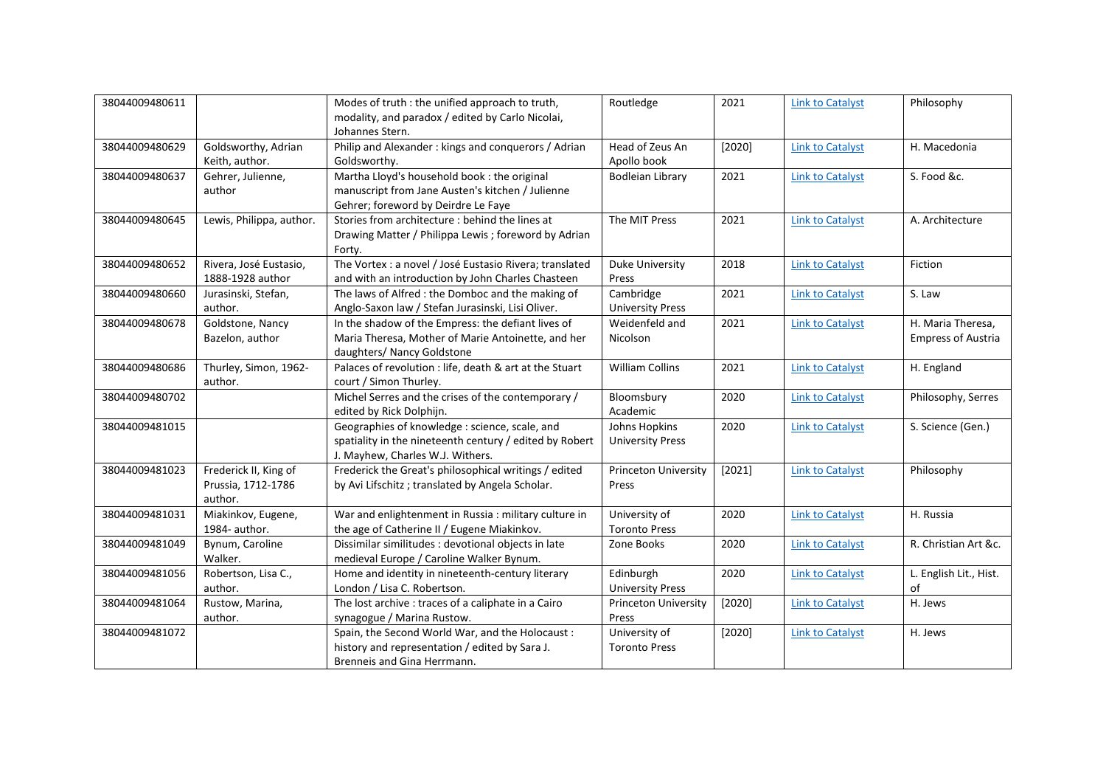| 38044009480611 |                          | Modes of truth : the unified approach to truth,         | Routledge                   | 2021   | <b>Link to Catalyst</b> | Philosophy                |
|----------------|--------------------------|---------------------------------------------------------|-----------------------------|--------|-------------------------|---------------------------|
|                |                          | modality, and paradox / edited by Carlo Nicolai,        |                             |        |                         |                           |
|                |                          | Johannes Stern.                                         |                             |        |                         |                           |
| 38044009480629 | Goldsworthy, Adrian      | Philip and Alexander : kings and conquerors / Adrian    | Head of Zeus An             | [2020] | <b>Link to Catalyst</b> | H. Macedonia              |
|                | Keith, author.           | Goldsworthy.                                            | Apollo book                 |        |                         |                           |
| 38044009480637 | Gehrer, Julienne,        | Martha Lloyd's household book : the original            | <b>Bodleian Library</b>     | 2021   | <b>Link to Catalyst</b> | S. Food &c.               |
|                | author                   | manuscript from Jane Austen's kitchen / Julienne        |                             |        |                         |                           |
|                |                          | Gehrer; foreword by Deirdre Le Faye                     |                             |        |                         |                           |
| 38044009480645 | Lewis, Philippa, author. | Stories from architecture : behind the lines at         | The MIT Press               | 2021   | <b>Link to Catalyst</b> | A. Architecture           |
|                |                          | Drawing Matter / Philippa Lewis; foreword by Adrian     |                             |        |                         |                           |
|                |                          | Forty.                                                  |                             |        |                         |                           |
| 38044009480652 | Rivera, José Eustasio,   | The Vortex : a novel / José Eustasio Rivera; translated | Duke University             | 2018   | <b>Link to Catalyst</b> | Fiction                   |
|                | 1888-1928 author         | and with an introduction by John Charles Chasteen       | Press                       |        |                         |                           |
| 38044009480660 | Jurasinski, Stefan,      | The laws of Alfred : the Domboc and the making of       | Cambridge                   | 2021   | <b>Link to Catalyst</b> | S. Law                    |
|                | author.                  | Anglo-Saxon law / Stefan Jurasinski, Lisi Oliver.       | <b>University Press</b>     |        |                         |                           |
| 38044009480678 | Goldstone, Nancy         | In the shadow of the Empress: the defiant lives of      | Weidenfeld and              | 2021   | <b>Link to Catalyst</b> | H. Maria Theresa,         |
|                | Bazelon, author          | Maria Theresa, Mother of Marie Antoinette, and her      | Nicolson                    |        |                         | <b>Empress of Austria</b> |
|                |                          | daughters/ Nancy Goldstone                              |                             |        |                         |                           |
| 38044009480686 | Thurley, Simon, 1962-    | Palaces of revolution : life, death & art at the Stuart | <b>William Collins</b>      | 2021   | <b>Link to Catalyst</b> | H. England                |
|                | author.                  | court / Simon Thurley.                                  |                             |        |                         |                           |
| 38044009480702 |                          | Michel Serres and the crises of the contemporary /      | Bloomsbury                  | 2020   | <b>Link to Catalyst</b> | Philosophy, Serres        |
|                |                          | edited by Rick Dolphijn.                                | Academic                    |        |                         |                           |
| 38044009481015 |                          | Geographies of knowledge : science, scale, and          | Johns Hopkins               | 2020   | <b>Link to Catalyst</b> | S. Science (Gen.)         |
|                |                          | spatiality in the nineteenth century / edited by Robert | <b>University Press</b>     |        |                         |                           |
|                |                          | J. Mayhew, Charles W.J. Withers.                        |                             |        |                         |                           |
| 38044009481023 | Frederick II, King of    | Frederick the Great's philosophical writings / edited   | <b>Princeton University</b> | [2021] | <b>Link to Catalyst</b> | Philosophy                |
|                | Prussia, 1712-1786       | by Avi Lifschitz; translated by Angela Scholar.         | Press                       |        |                         |                           |
|                | author.                  |                                                         |                             |        |                         |                           |
| 38044009481031 | Miakinkov, Eugene,       | War and enlightenment in Russia : military culture in   | University of               | 2020   | <b>Link to Catalyst</b> | H. Russia                 |
|                | 1984- author.            | the age of Catherine II / Eugene Miakinkov.             | <b>Toronto Press</b>        |        |                         |                           |
| 38044009481049 | Bynum, Caroline          | Dissimilar similitudes : devotional objects in late     | Zone Books                  | 2020   | <b>Link to Catalyst</b> | R. Christian Art &c.      |
|                | Walker.                  | medieval Europe / Caroline Walker Bynum.                |                             |        |                         |                           |
| 38044009481056 | Robertson, Lisa C.,      | Home and identity in nineteenth-century literary        | Edinburgh                   | 2020   | <b>Link to Catalyst</b> | L. English Lit., Hist.    |
|                | author.                  | London / Lisa C. Robertson.                             | <b>University Press</b>     |        |                         | of                        |
| 38044009481064 | Rustow, Marina,          | The lost archive : traces of a caliphate in a Cairo     | Princeton University        | [2020] | <b>Link to Catalyst</b> | H. Jews                   |
|                | author.                  | synagogue / Marina Rustow.                              | Press                       |        |                         |                           |
| 38044009481072 |                          | Spain, the Second World War, and the Holocaust:         | University of               | [2020] | <b>Link to Catalyst</b> | H. Jews                   |
|                |                          | history and representation / edited by Sara J.          | <b>Toronto Press</b>        |        |                         |                           |
|                |                          | Brenneis and Gina Herrmann.                             |                             |        |                         |                           |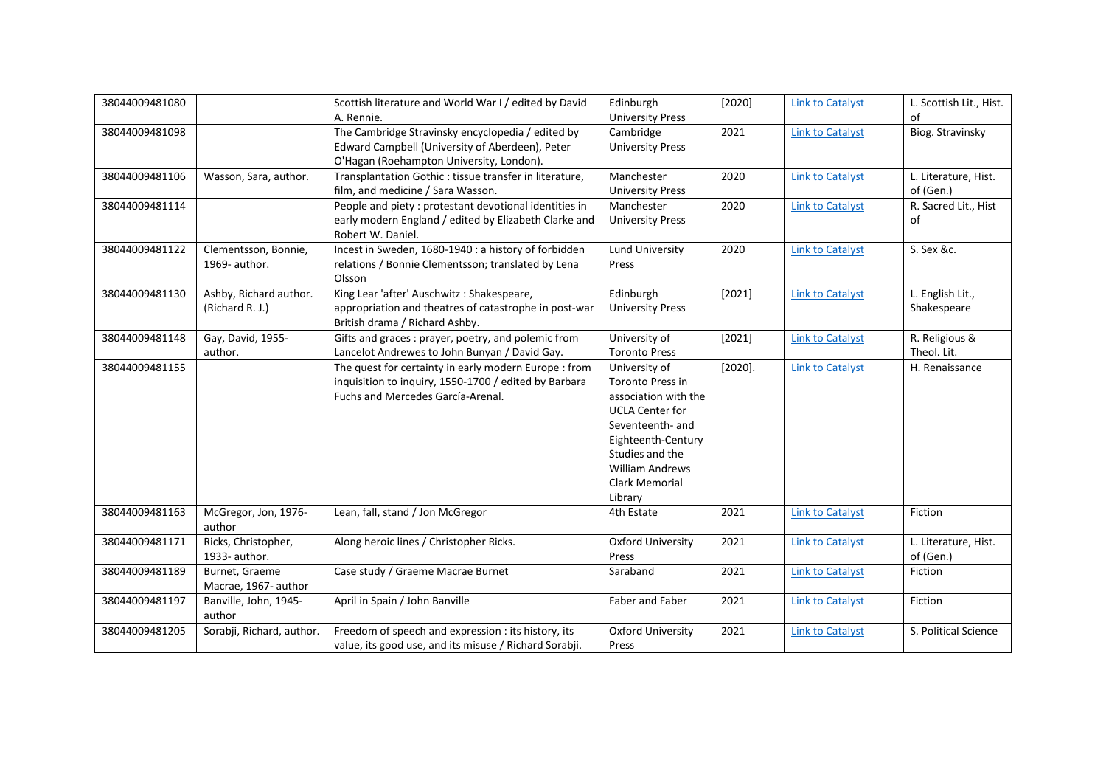| 38044009481080 |                           | Scottish literature and World War I / edited by David   | Edinburgh                | [2020]     | <b>Link to Catalyst</b> | L. Scottish Lit., Hist. |
|----------------|---------------------------|---------------------------------------------------------|--------------------------|------------|-------------------------|-------------------------|
|                |                           | A. Rennie.                                              | <b>University Press</b>  |            |                         | of                      |
| 38044009481098 |                           | The Cambridge Stravinsky encyclopedia / edited by       | Cambridge                | 2021       | <b>Link to Catalyst</b> | Biog. Stravinsky        |
|                |                           | Edward Campbell (University of Aberdeen), Peter         | <b>University Press</b>  |            |                         |                         |
|                |                           | O'Hagan (Roehampton University, London).                |                          |            |                         |                         |
| 38044009481106 | Wasson, Sara, author.     | Transplantation Gothic : tissue transfer in literature, | Manchester               | 2020       | <b>Link to Catalyst</b> | L. Literature, Hist.    |
|                |                           | film, and medicine / Sara Wasson.                       | <b>University Press</b>  |            |                         | of (Gen.)               |
| 38044009481114 |                           | People and piety : protestant devotional identities in  | Manchester               | 2020       | <b>Link to Catalyst</b> | R. Sacred Lit., Hist    |
|                |                           | early modern England / edited by Elizabeth Clarke and   | <b>University Press</b>  |            |                         | of                      |
|                |                           | Robert W. Daniel.                                       |                          |            |                         |                         |
| 38044009481122 | Clementsson, Bonnie,      | Incest in Sweden, 1680-1940 : a history of forbidden    | Lund University          | 2020       | <b>Link to Catalyst</b> | S. Sex &c.              |
|                | 1969- author.             | relations / Bonnie Clementsson; translated by Lena      | Press                    |            |                         |                         |
|                |                           | Olsson                                                  |                          |            |                         |                         |
| 38044009481130 | Ashby, Richard author.    | King Lear 'after' Auschwitz: Shakespeare,               | Edinburgh                | [2021]     | <b>Link to Catalyst</b> | L. English Lit.,        |
|                | (Richard R. J.)           | appropriation and theatres of catastrophe in post-war   | <b>University Press</b>  |            |                         | Shakespeare             |
|                |                           | British drama / Richard Ashby.                          |                          |            |                         |                         |
| 38044009481148 | Gay, David, 1955-         | Gifts and graces : prayer, poetry, and polemic from     | University of            | [2021]     | <b>Link to Catalyst</b> | R. Religious &          |
|                | author.                   | Lancelot Andrewes to John Bunyan / David Gay.           | <b>Toronto Press</b>     |            |                         | Theol. Lit.             |
| 38044009481155 |                           | The quest for certainty in early modern Europe : from   | University of            | $[2020]$ . | <b>Link to Catalyst</b> | H. Renaissance          |
|                |                           | inquisition to inquiry, 1550-1700 / edited by Barbara   | Toronto Press in         |            |                         |                         |
|                |                           | Fuchs and Mercedes García-Arenal.                       | association with the     |            |                         |                         |
|                |                           |                                                         | <b>UCLA Center for</b>   |            |                         |                         |
|                |                           |                                                         | Seventeenth- and         |            |                         |                         |
|                |                           |                                                         | Eighteenth-Century       |            |                         |                         |
|                |                           |                                                         | Studies and the          |            |                         |                         |
|                |                           |                                                         | <b>William Andrews</b>   |            |                         |                         |
|                |                           |                                                         | Clark Memorial           |            |                         |                         |
|                |                           |                                                         | Library                  |            |                         |                         |
| 38044009481163 | McGregor, Jon, 1976-      | Lean, fall, stand / Jon McGregor                        | 4th Estate               | 2021       | <b>Link to Catalyst</b> | Fiction                 |
|                | author                    |                                                         |                          |            |                         |                         |
| 38044009481171 | Ricks, Christopher,       | Along heroic lines / Christopher Ricks.                 | <b>Oxford University</b> | 2021       | <b>Link to Catalyst</b> | L. Literature, Hist.    |
|                | 1933- author.             |                                                         | Press                    |            |                         | of (Gen.)               |
| 38044009481189 | Burnet, Graeme            | Case study / Graeme Macrae Burnet                       | Saraband                 | 2021       | <b>Link to Catalyst</b> | Fiction                 |
|                | Macrae, 1967- author      |                                                         |                          |            |                         |                         |
| 38044009481197 | Banville, John, 1945-     | April in Spain / John Banville                          | Faber and Faber          | 2021       | <b>Link to Catalyst</b> | Fiction                 |
|                | author                    |                                                         |                          |            |                         |                         |
| 38044009481205 | Sorabji, Richard, author. | Freedom of speech and expression : its history, its     | <b>Oxford University</b> | 2021       | <b>Link to Catalyst</b> | S. Political Science    |
|                |                           | value, its good use, and its misuse / Richard Sorabji.  | Press                    |            |                         |                         |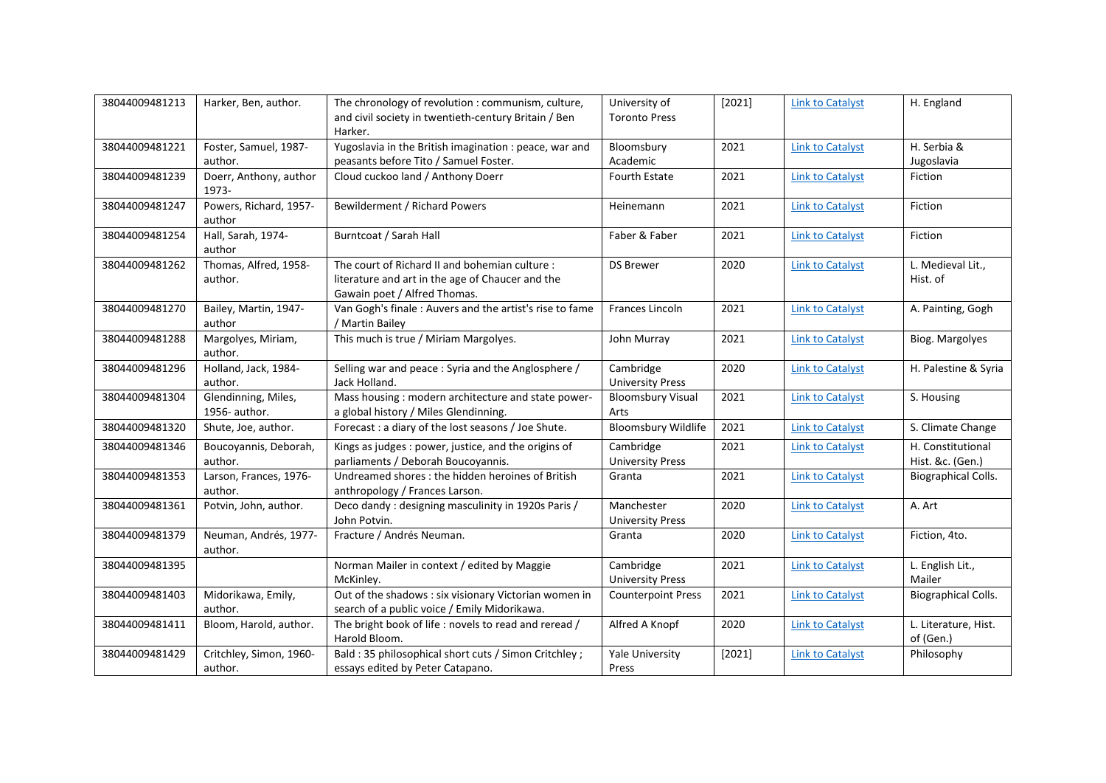| 38044009481213 | Harker, Ben, author.                 | The chronology of revolution : communism, culture,                                                                                 | University of                         | [2021] | <b>Link to Catalyst</b> | H. England                            |
|----------------|--------------------------------------|------------------------------------------------------------------------------------------------------------------------------------|---------------------------------------|--------|-------------------------|---------------------------------------|
|                |                                      | and civil society in twentieth-century Britain / Ben                                                                               | <b>Toronto Press</b>                  |        |                         |                                       |
|                |                                      | Harker.                                                                                                                            |                                       |        |                         |                                       |
| 38044009481221 | Foster, Samuel, 1987-                | Yugoslavia in the British imagination : peace, war and                                                                             | Bloomsbury                            | 2021   | <b>Link to Catalyst</b> | H. Serbia &                           |
|                | author.                              | peasants before Tito / Samuel Foster.                                                                                              | Academic                              |        |                         | Jugoslavia                            |
| 38044009481239 | Doerr, Anthony, author<br>1973-      | Cloud cuckoo land / Anthony Doerr                                                                                                  | Fourth Estate                         | 2021   | <b>Link to Catalyst</b> | Fiction                               |
| 38044009481247 | Powers, Richard, 1957-<br>author     | Bewilderment / Richard Powers                                                                                                      | Heinemann                             | 2021   | <b>Link to Catalyst</b> | Fiction                               |
| 38044009481254 | Hall, Sarah, 1974-<br>author         | Burntcoat / Sarah Hall                                                                                                             | Faber & Faber                         | 2021   | <b>Link to Catalyst</b> | Fiction                               |
| 38044009481262 | Thomas, Alfred, 1958-<br>author.     | The court of Richard II and bohemian culture :<br>literature and art in the age of Chaucer and the<br>Gawain poet / Alfred Thomas. | <b>DS Brewer</b>                      | 2020   | <b>Link to Catalyst</b> | L. Medieval Lit.,<br>Hist. of         |
| 38044009481270 | Bailey, Martin, 1947-<br>author      | Van Gogh's finale: Auvers and the artist's rise to fame<br>/ Martin Bailey                                                         | Frances Lincoln                       | 2021   | <b>Link to Catalyst</b> | A. Painting, Gogh                     |
| 38044009481288 | Margolyes, Miriam,<br>author.        | This much is true / Miriam Margolyes.                                                                                              | John Murray                           | 2021   | <b>Link to Catalyst</b> | Biog. Margolyes                       |
| 38044009481296 | Holland, Jack, 1984-<br>author.      | Selling war and peace : Syria and the Anglosphere /<br>Jack Holland.                                                               | Cambridge<br><b>University Press</b>  | 2020   | <b>Link to Catalyst</b> | H. Palestine & Syria                  |
| 38044009481304 | Glendinning, Miles,<br>1956- author. | Mass housing : modern architecture and state power-<br>a global history / Miles Glendinning.                                       | <b>Bloomsbury Visual</b><br>Arts      | 2021   | <b>Link to Catalyst</b> | S. Housing                            |
| 38044009481320 | Shute, Joe, author.                  | Forecast : a diary of the lost seasons / Joe Shute.                                                                                | <b>Bloomsbury Wildlife</b>            | 2021   | <b>Link to Catalyst</b> | S. Climate Change                     |
| 38044009481346 | Boucoyannis, Deborah,<br>author.     | Kings as judges : power, justice, and the origins of<br>parliaments / Deborah Boucoyannis.                                         | Cambridge<br><b>University Press</b>  | 2021   | <b>Link to Catalyst</b> | H. Constitutional<br>Hist. &c. (Gen.) |
| 38044009481353 | Larson, Frances, 1976-<br>author.    | Undreamed shores : the hidden heroines of British<br>anthropology / Frances Larson.                                                | Granta                                | 2021   | <b>Link to Catalyst</b> | Biographical Colls.                   |
| 38044009481361 | Potvin, John, author.                | Deco dandy : designing masculinity in 1920s Paris /<br>John Potvin.                                                                | Manchester<br><b>University Press</b> | 2020   | <b>Link to Catalyst</b> | A. Art                                |
| 38044009481379 | Neuman, Andrés, 1977-<br>author.     | Fracture / Andrés Neuman.                                                                                                          | Granta                                | 2020   | <b>Link to Catalyst</b> | Fiction, 4to.                         |
| 38044009481395 |                                      | Norman Mailer in context / edited by Maggie<br>McKinley.                                                                           | Cambridge<br><b>University Press</b>  | 2021   | <b>Link to Catalyst</b> | L. English Lit.,<br>Mailer            |
| 38044009481403 | Midorikawa, Emily,<br>author.        | Out of the shadows : six visionary Victorian women in<br>search of a public voice / Emily Midorikawa.                              | <b>Counterpoint Press</b>             | 2021   | <b>Link to Catalyst</b> | <b>Biographical Colls.</b>            |
| 38044009481411 | Bloom, Harold, author.               | The bright book of life : novels to read and reread /<br>Harold Bloom.                                                             | Alfred A Knopf                        | 2020   | <b>Link to Catalyst</b> | L. Literature, Hist.<br>of (Gen.)     |
| 38044009481429 | Critchley, Simon, 1960-<br>author.   | Bald: 35 philosophical short cuts / Simon Critchley;<br>essays edited by Peter Catapano.                                           | <b>Yale University</b><br>Press       | [2021] | <b>Link to Catalyst</b> | Philosophy                            |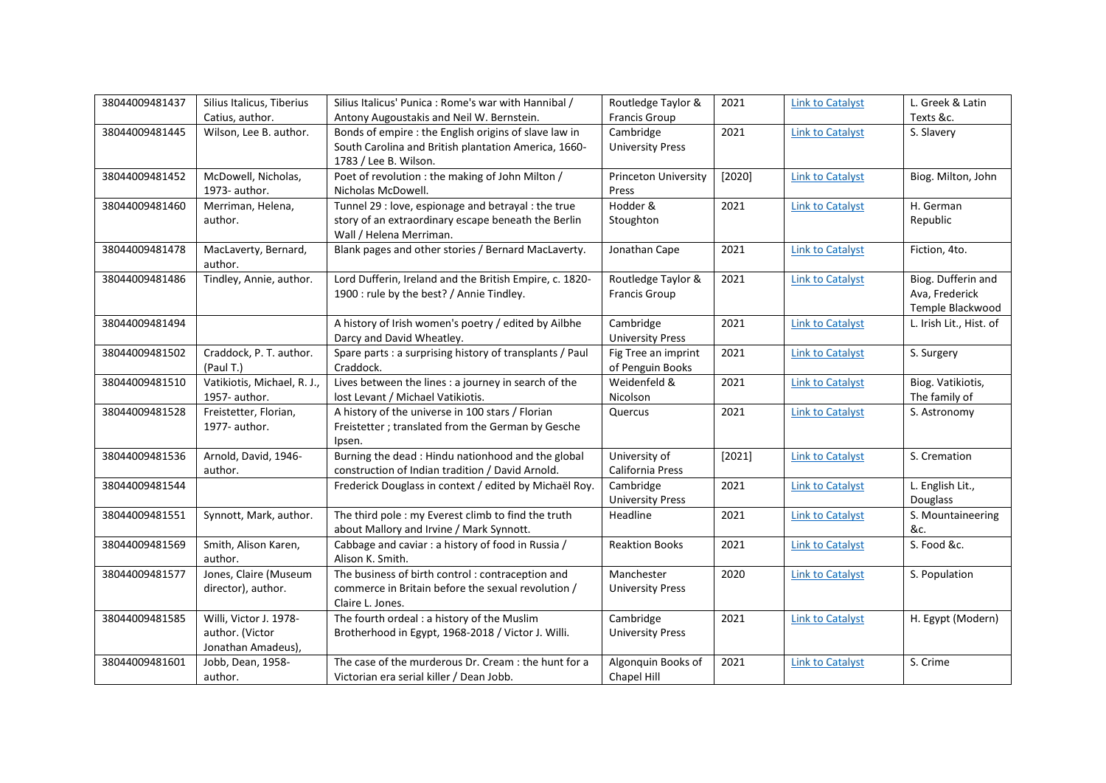| 38044009481437 | Silius Italicus, Tiberius                                       | Silius Italicus' Punica: Rome's war with Hannibal /                                                                                    | Routledge Taylor &                      | 2021   | <b>Link to Catalyst</b> | L. Greek & Latin                                         |
|----------------|-----------------------------------------------------------------|----------------------------------------------------------------------------------------------------------------------------------------|-----------------------------------------|--------|-------------------------|----------------------------------------------------------|
|                | Catius, author.                                                 | Antony Augoustakis and Neil W. Bernstein.                                                                                              | <b>Francis Group</b>                    |        |                         | Texts &c.                                                |
| 38044009481445 | Wilson, Lee B. author.                                          | Bonds of empire : the English origins of slave law in<br>South Carolina and British plantation America, 1660-<br>1783 / Lee B. Wilson. | Cambridge<br><b>University Press</b>    | 2021   | <b>Link to Catalyst</b> | S. Slavery                                               |
| 38044009481452 | McDowell, Nicholas,<br>1973- author.                            | Poet of revolution : the making of John Milton /<br>Nicholas McDowell.                                                                 | <b>Princeton University</b><br>Press    | [2020] | <b>Link to Catalyst</b> | Biog. Milton, John                                       |
| 38044009481460 | Merriman, Helena,<br>author.                                    | Tunnel 29 : love, espionage and betrayal : the true<br>story of an extraordinary escape beneath the Berlin<br>Wall / Helena Merriman.  | Hodder &<br>Stoughton                   | 2021   | <b>Link to Catalyst</b> | H. German<br>Republic                                    |
| 38044009481478 | MacLaverty, Bernard,<br>author.                                 | Blank pages and other stories / Bernard MacLaverty.                                                                                    | Jonathan Cape                           | 2021   | <b>Link to Catalyst</b> | Fiction, 4to.                                            |
| 38044009481486 | Tindley, Annie, author.                                         | Lord Dufferin, Ireland and the British Empire, c. 1820-<br>1900 : rule by the best? / Annie Tindley.                                   | Routledge Taylor &<br>Francis Group     | 2021   | <b>Link to Catalyst</b> | Biog. Dufferin and<br>Ava, Frederick<br>Temple Blackwood |
| 38044009481494 |                                                                 | A history of Irish women's poetry / edited by Ailbhe<br>Darcy and David Wheatley.                                                      | Cambridge<br><b>University Press</b>    | 2021   | <b>Link to Catalyst</b> | L. Irish Lit., Hist. of                                  |
| 38044009481502 | Craddock, P. T. author.<br>(Paul T.)                            | Spare parts : a surprising history of transplants / Paul<br>Craddock.                                                                  | Fig Tree an imprint<br>of Penguin Books | 2021   | <b>Link to Catalyst</b> | S. Surgery                                               |
| 38044009481510 | Vatikiotis, Michael, R. J.,<br>1957- author.                    | Lives between the lines : a journey in search of the<br>lost Levant / Michael Vatikiotis.                                              | Weidenfeld &<br>Nicolson                | 2021   | <b>Link to Catalyst</b> | Biog. Vatikiotis,<br>The family of                       |
| 38044009481528 | Freistetter, Florian,<br>1977- author.                          | A history of the universe in 100 stars / Florian<br>Freistetter ; translated from the German by Gesche<br>Ipsen.                       | Quercus                                 | 2021   | <b>Link to Catalyst</b> | S. Astronomy                                             |
| 38044009481536 | Arnold, David, 1946-<br>author.                                 | Burning the dead: Hindu nationhood and the global<br>construction of Indian tradition / David Arnold.                                  | University of<br>California Press       | [2021] | <b>Link to Catalyst</b> | S. Cremation                                             |
| 38044009481544 |                                                                 | Frederick Douglass in context / edited by Michaël Roy.                                                                                 | Cambridge<br><b>University Press</b>    | 2021   | <b>Link to Catalyst</b> | L. English Lit.,<br>Douglass                             |
| 38044009481551 | Synnott, Mark, author.                                          | The third pole : my Everest climb to find the truth<br>about Mallory and Irvine / Mark Synnott.                                        | Headline                                | 2021   | <b>Link to Catalyst</b> | S. Mountaineering<br>&c.                                 |
| 38044009481569 | Smith, Alison Karen,<br>author.                                 | Cabbage and caviar : a history of food in Russia /<br>Alison K. Smith.                                                                 | <b>Reaktion Books</b>                   | 2021   | <b>Link to Catalyst</b> | S. Food &c.                                              |
| 38044009481577 | Jones, Claire (Museum<br>director), author.                     | The business of birth control : contraception and<br>commerce in Britain before the sexual revolution /<br>Claire L. Jones.            | Manchester<br><b>University Press</b>   | 2020   | <b>Link to Catalyst</b> | S. Population                                            |
| 38044009481585 | Willi, Victor J. 1978-<br>author. (Victor<br>Jonathan Amadeus), | The fourth ordeal : a history of the Muslim<br>Brotherhood in Egypt, 1968-2018 / Victor J. Willi.                                      | Cambridge<br><b>University Press</b>    | 2021   | <b>Link to Catalyst</b> | H. Egypt (Modern)                                        |
| 38044009481601 | Jobb, Dean, 1958-<br>author.                                    | The case of the murderous Dr. Cream : the hunt for a<br>Victorian era serial killer / Dean Jobb.                                       | Algonquin Books of<br>Chapel Hill       | 2021   | <b>Link to Catalyst</b> | S. Crime                                                 |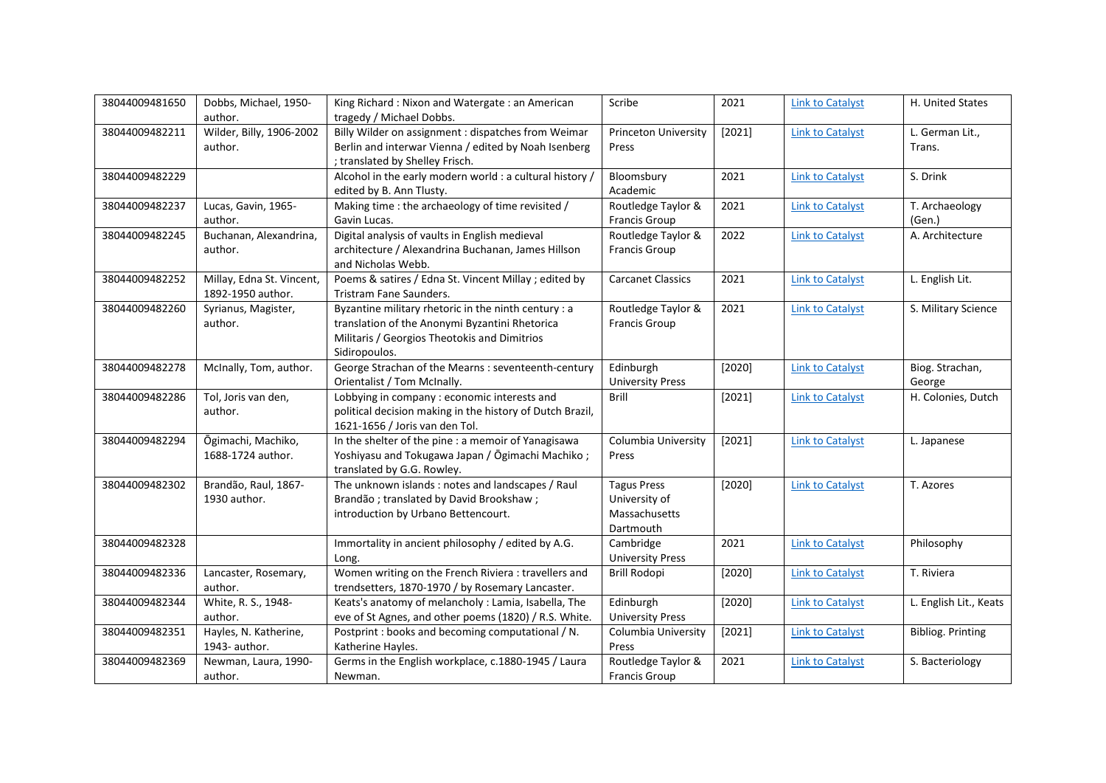| 38044009481650 | Dobbs, Michael, 1950-<br>author.               | King Richard: Nixon and Watergate: an American<br>tragedy / Michael Dobbs.                                                                                              | Scribe                                                            | 2021   | <b>Link to Catalyst</b> | H. United States          |
|----------------|------------------------------------------------|-------------------------------------------------------------------------------------------------------------------------------------------------------------------------|-------------------------------------------------------------------|--------|-------------------------|---------------------------|
| 38044009482211 | Wilder, Billy, 1906-2002<br>author.            | Billy Wilder on assignment : dispatches from Weimar<br>Berlin and interwar Vienna / edited by Noah Isenberg<br>; translated by Shelley Frisch.                          | Princeton University<br>Press                                     | [2021] | <b>Link to Catalyst</b> | L. German Lit.,<br>Trans. |
| 38044009482229 |                                                | Alcohol in the early modern world : a cultural history /<br>edited by B. Ann Tlusty.                                                                                    | Bloomsbury<br>Academic                                            | 2021   | <b>Link to Catalyst</b> | S. Drink                  |
| 38044009482237 | Lucas, Gavin, 1965-<br>author.                 | Making time : the archaeology of time revisited /<br>Gavin Lucas.                                                                                                       | Routledge Taylor &<br><b>Francis Group</b>                        | 2021   | <b>Link to Catalyst</b> | T. Archaeology<br>(Gen.)  |
| 38044009482245 | Buchanan, Alexandrina,<br>author.              | Digital analysis of vaults in English medieval<br>architecture / Alexandrina Buchanan, James Hillson<br>and Nicholas Webb.                                              | Routledge Taylor &<br>Francis Group                               | 2022   | <b>Link to Catalyst</b> | A. Architecture           |
| 38044009482252 | Millay, Edna St. Vincent,<br>1892-1950 author. | Poems & satires / Edna St. Vincent Millay ; edited by<br>Tristram Fane Saunders.                                                                                        | <b>Carcanet Classics</b>                                          | 2021   | <b>Link to Catalyst</b> | L. English Lit.           |
| 38044009482260 | Syrianus, Magister,<br>author.                 | Byzantine military rhetoric in the ninth century : a<br>translation of the Anonymi Byzantini Rhetorica<br>Militaris / Georgios Theotokis and Dimitrios<br>Sidiropoulos. | Routledge Taylor &<br>Francis Group                               | 2021   | <b>Link to Catalyst</b> | S. Military Science       |
| 38044009482278 | McInally, Tom, author.                         | George Strachan of the Mearns : seventeenth-century<br>Orientalist / Tom McInally.                                                                                      | Edinburgh<br><b>University Press</b>                              | [2020] | <b>Link to Catalyst</b> | Biog. Strachan,<br>George |
| 38044009482286 | Tol, Joris van den,<br>author.                 | Lobbying in company : economic interests and<br>political decision making in the history of Dutch Brazil,<br>1621-1656 / Joris van den Tol.                             | <b>Brill</b>                                                      | [2021] | <b>Link to Catalyst</b> | H. Colonies, Dutch        |
| 38044009482294 | Ōgimachi, Machiko,<br>1688-1724 author.        | In the shelter of the pine : a memoir of Yanagisawa<br>Yoshiyasu and Tokugawa Japan / Ōgimachi Machiko;<br>translated by G.G. Rowley.                                   | Columbia University<br>Press                                      | [2021] | <b>Link to Catalyst</b> | L. Japanese               |
| 38044009482302 | Brandão, Raul, 1867-<br>1930 author.           | The unknown islands: notes and landscapes / Raul<br>Brandão; translated by David Brookshaw;<br>introduction by Urbano Bettencourt.                                      | <b>Tagus Press</b><br>University of<br>Massachusetts<br>Dartmouth | [2020] | <b>Link to Catalyst</b> | T. Azores                 |
| 38044009482328 |                                                | Immortality in ancient philosophy / edited by A.G.<br>Long.                                                                                                             | Cambridge<br><b>University Press</b>                              | 2021   | <b>Link to Catalyst</b> | Philosophy                |
| 38044009482336 | Lancaster, Rosemary,<br>author.                | Women writing on the French Riviera : travellers and<br>trendsetters, 1870-1970 / by Rosemary Lancaster.                                                                | <b>Brill Rodopi</b>                                               | [2020] | <b>Link to Catalyst</b> | T. Riviera                |
| 38044009482344 | White, R. S., 1948-<br>author.                 | Keats's anatomy of melancholy : Lamia, Isabella, The<br>eve of St Agnes, and other poems (1820) / R.S. White.                                                           | Edinburgh<br><b>University Press</b>                              | [2020] | <b>Link to Catalyst</b> | L. English Lit., Keats    |
| 38044009482351 | Hayles, N. Katherine,<br>1943- author.         | Postprint : books and becoming computational / N.<br>Katherine Hayles.                                                                                                  | Columbia University<br>Press                                      | [2021] | <b>Link to Catalyst</b> | <b>Bibliog. Printing</b>  |
| 38044009482369 | Newman, Laura, 1990-<br>author.                | Germs in the English workplace, c.1880-1945 / Laura<br>Newman.                                                                                                          | Routledge Taylor &<br><b>Francis Group</b>                        | 2021   | <b>Link to Catalyst</b> | S. Bacteriology           |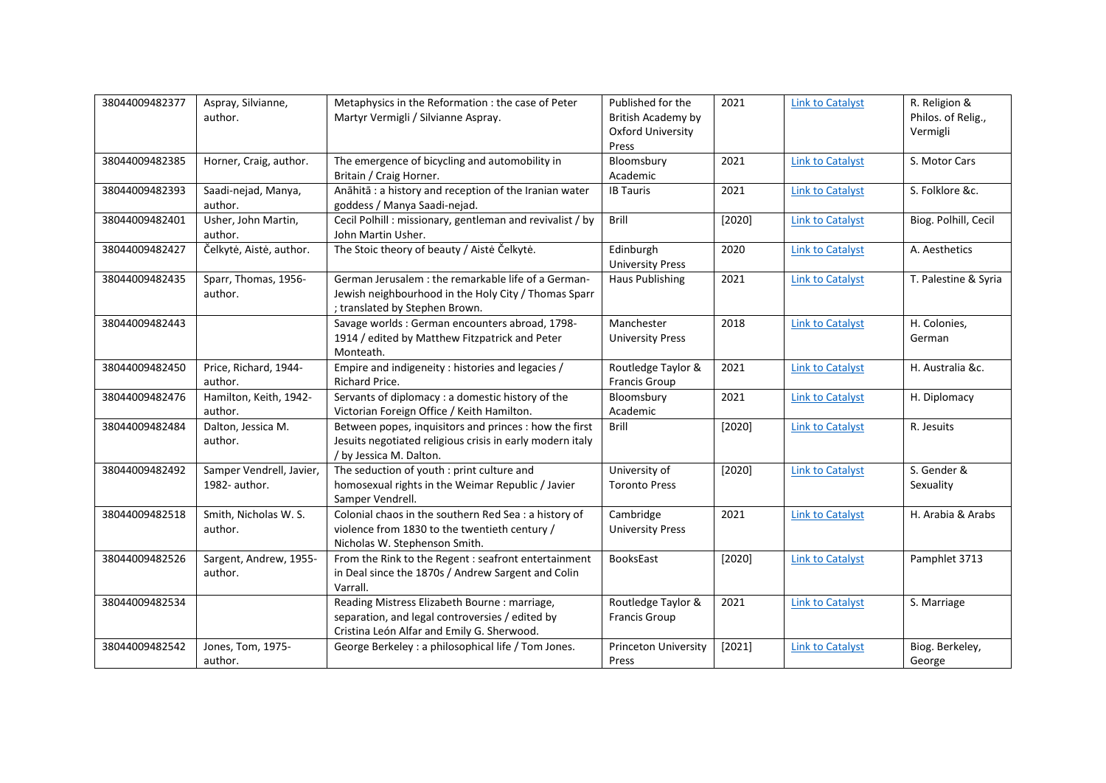| 38044009482377 | Aspray, Silvianne,<br>author.             | Metaphysics in the Reformation : the case of Peter<br>Martyr Vermigli / Silvianne Aspray.                                                      | Published for the<br>British Academy by<br><b>Oxford University</b><br>Press | 2021   | <b>Link to Catalyst</b> | R. Religion &<br>Philos. of Relig.,<br>Vermigli |
|----------------|-------------------------------------------|------------------------------------------------------------------------------------------------------------------------------------------------|------------------------------------------------------------------------------|--------|-------------------------|-------------------------------------------------|
| 38044009482385 | Horner, Craig, author.                    | The emergence of bicycling and automobility in<br>Britain / Craig Horner.                                                                      | Bloomsbury<br>Academic                                                       | 2021   | <b>Link to Catalyst</b> | S. Motor Cars                                   |
| 38044009482393 | Saadi-nejad, Manya,<br>author.            | Anāhitā : a history and reception of the Iranian water<br>goddess / Manya Saadi-nejad.                                                         | <b>IB Tauris</b>                                                             | 2021   | <b>Link to Catalyst</b> | S. Folklore &c.                                 |
| 38044009482401 | Usher, John Martin,<br>author.            | Cecil Polhill : missionary, gentleman and revivalist / by<br>John Martin Usher.                                                                | Brill                                                                        | [2020] | <b>Link to Catalyst</b> | Biog. Polhill, Cecil                            |
| 38044009482427 | Čelkytė, Aistė, author.                   | The Stoic theory of beauty / Aiste Celkyte.                                                                                                    | Edinburgh<br><b>University Press</b>                                         | 2020   | <b>Link to Catalyst</b> | A. Aesthetics                                   |
| 38044009482435 | Sparr, Thomas, 1956-<br>author.           | German Jerusalem : the remarkable life of a German-<br>Jewish neighbourhood in the Holy City / Thomas Sparr<br>; translated by Stephen Brown.  | Haus Publishing                                                              | 2021   | <b>Link to Catalyst</b> | T. Palestine & Syria                            |
| 38044009482443 |                                           | Savage worlds : German encounters abroad, 1798-<br>1914 / edited by Matthew Fitzpatrick and Peter<br>Monteath.                                 | Manchester<br><b>University Press</b>                                        | 2018   | <b>Link to Catalyst</b> | H. Colonies,<br>German                          |
| 38044009482450 | Price, Richard, 1944-<br>author.          | Empire and indigeneity : histories and legacies /<br>Richard Price.                                                                            | Routledge Taylor &<br>Francis Group                                          | 2021   | <b>Link to Catalyst</b> | H. Australia &c.                                |
| 38044009482476 | Hamilton, Keith, 1942-<br>author.         | Servants of diplomacy : a domestic history of the<br>Victorian Foreign Office / Keith Hamilton.                                                | Bloomsbury<br>Academic                                                       | 2021   | <b>Link to Catalyst</b> | H. Diplomacy                                    |
| 38044009482484 | Dalton, Jessica M.<br>author.             | Between popes, inquisitors and princes : how the first<br>Jesuits negotiated religious crisis in early modern italy<br>/ by Jessica M. Dalton. | <b>Brill</b>                                                                 | [2020] | <b>Link to Catalyst</b> | R. Jesuits                                      |
| 38044009482492 | Samper Vendrell, Javier,<br>1982- author. | The seduction of youth : print culture and<br>homosexual rights in the Weimar Republic / Javier<br>Samper Vendrell.                            | University of<br><b>Toronto Press</b>                                        | [2020] | <b>Link to Catalyst</b> | S. Gender &<br>Sexuality                        |
| 38044009482518 | Smith, Nicholas W. S.<br>author.          | Colonial chaos in the southern Red Sea : a history of<br>violence from 1830 to the twentieth century /<br>Nicholas W. Stephenson Smith.        | Cambridge<br><b>University Press</b>                                         | 2021   | <b>Link to Catalyst</b> | H. Arabia & Arabs                               |
| 38044009482526 | Sargent, Andrew, 1955-<br>author.         | From the Rink to the Regent : seafront entertainment<br>in Deal since the 1870s / Andrew Sargent and Colin<br>Varrall.                         | BooksEast                                                                    | [2020] | <b>Link to Catalyst</b> | Pamphlet 3713                                   |
| 38044009482534 |                                           | Reading Mistress Elizabeth Bourne : marriage,<br>separation, and legal controversies / edited by<br>Cristina León Alfar and Emily G. Sherwood. | Routledge Taylor &<br>Francis Group                                          | 2021   | <b>Link to Catalyst</b> | S. Marriage                                     |
| 38044009482542 | Jones, Tom, 1975-<br>author.              | George Berkeley: a philosophical life / Tom Jones.                                                                                             | <b>Princeton University</b><br>Press                                         | [2021] | <b>Link to Catalyst</b> | Biog. Berkeley,<br>George                       |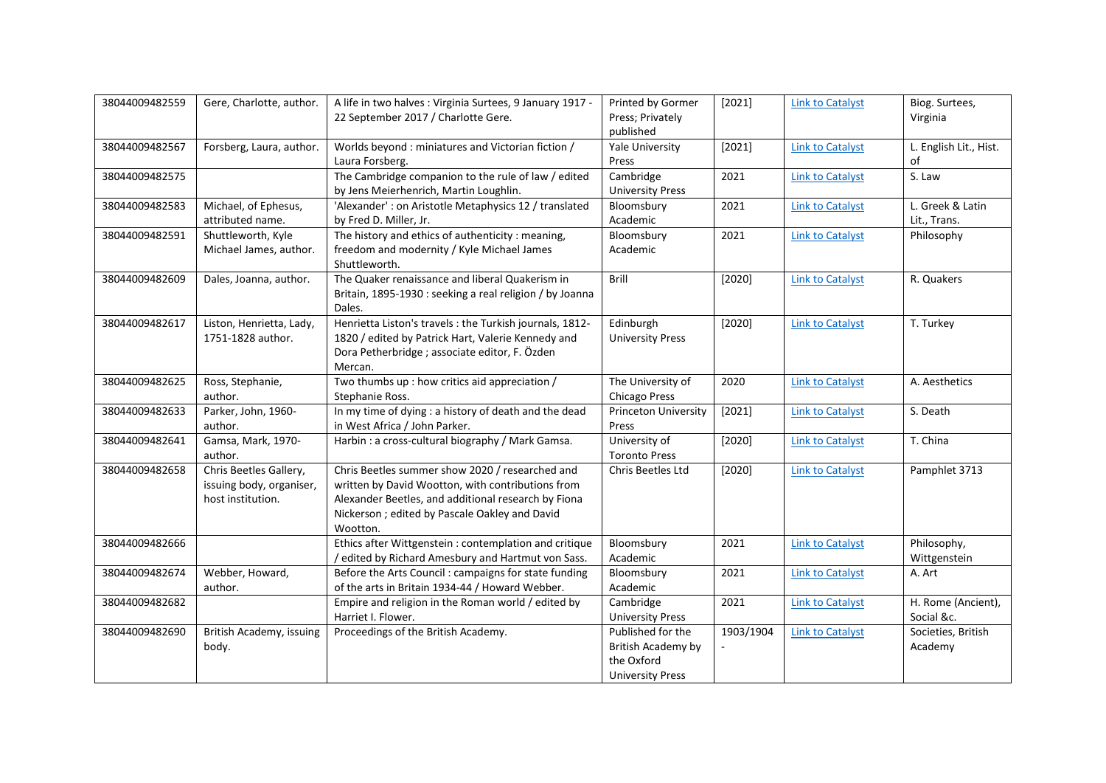| 38044009482559 | Gere, Charlotte, author.                                                | A life in two halves : Virginia Surtees, 9 January 1917 -                                                                                                                                                                 | Printed by Gormer                                                                | [2021]    | <b>Link to Catalyst</b> | Biog. Surtees,                   |
|----------------|-------------------------------------------------------------------------|---------------------------------------------------------------------------------------------------------------------------------------------------------------------------------------------------------------------------|----------------------------------------------------------------------------------|-----------|-------------------------|----------------------------------|
|                |                                                                         | 22 September 2017 / Charlotte Gere.                                                                                                                                                                                       | Press; Privately<br>published                                                    |           |                         | Virginia                         |
| 38044009482567 | Forsberg, Laura, author.                                                | Worlds beyond: miniatures and Victorian fiction /<br>Laura Forsberg.                                                                                                                                                      | Yale University<br>Press                                                         | [2021]    | <b>Link to Catalyst</b> | L. English Lit., Hist.<br>of     |
| 38044009482575 |                                                                         | The Cambridge companion to the rule of law / edited<br>by Jens Meierhenrich, Martin Loughlin.                                                                                                                             | Cambridge<br><b>University Press</b>                                             | 2021      | <b>Link to Catalyst</b> | S. Law                           |
| 38044009482583 | Michael, of Ephesus,<br>attributed name.                                | 'Alexander': on Aristotle Metaphysics 12 / translated<br>by Fred D. Miller, Jr.                                                                                                                                           | Bloomsbury<br>Academic                                                           | 2021      | <b>Link to Catalyst</b> | L. Greek & Latin<br>Lit., Trans. |
| 38044009482591 | Shuttleworth, Kyle<br>Michael James, author.                            | The history and ethics of authenticity : meaning,<br>freedom and modernity / Kyle Michael James<br>Shuttleworth.                                                                                                          | Bloomsbury<br>Academic                                                           | 2021      | <b>Link to Catalyst</b> | Philosophy                       |
| 38044009482609 | Dales, Joanna, author.                                                  | The Quaker renaissance and liberal Quakerism in<br>Britain, 1895-1930 : seeking a real religion / by Joanna<br>Dales.                                                                                                     | Brill                                                                            | [2020]    | <b>Link to Catalyst</b> | R. Quakers                       |
| 38044009482617 | Liston, Henrietta, Lady,<br>1751-1828 author.                           | Henrietta Liston's travels : the Turkish journals, 1812-<br>1820 / edited by Patrick Hart, Valerie Kennedy and<br>Dora Petherbridge ; associate editor, F. Özden<br>Mercan.                                               | Edinburgh<br><b>University Press</b>                                             | [2020]    | <b>Link to Catalyst</b> | T. Turkey                        |
| 38044009482625 | Ross, Stephanie,<br>author.                                             | Two thumbs up : how critics aid appreciation /<br>Stephanie Ross.                                                                                                                                                         | The University of<br><b>Chicago Press</b>                                        | 2020      | <b>Link to Catalyst</b> | A. Aesthetics                    |
| 38044009482633 | Parker, John, 1960-<br>author.                                          | In my time of dying : a history of death and the dead<br>in West Africa / John Parker.                                                                                                                                    | <b>Princeton University</b><br>Press                                             | [2021]    | <b>Link to Catalyst</b> | S. Death                         |
| 38044009482641 | Gamsa, Mark, 1970-<br>author.                                           | Harbin : a cross-cultural biography / Mark Gamsa.                                                                                                                                                                         | University of<br><b>Toronto Press</b>                                            | [2020]    | <b>Link to Catalyst</b> | T. China                         |
| 38044009482658 | Chris Beetles Gallery,<br>issuing body, organiser,<br>host institution. | Chris Beetles summer show 2020 / researched and<br>written by David Wootton, with contributions from<br>Alexander Beetles, and additional research by Fiona<br>Nickerson ; edited by Pascale Oakley and David<br>Wootton. | Chris Beetles Ltd                                                                | [2020]    | <b>Link to Catalyst</b> | Pamphlet 3713                    |
| 38044009482666 |                                                                         | Ethics after Wittgenstein : contemplation and critique<br>/ edited by Richard Amesbury and Hartmut von Sass.                                                                                                              | Bloomsbury<br>Academic                                                           | 2021      | <b>Link to Catalyst</b> | Philosophy,<br>Wittgenstein      |
| 38044009482674 | Webber, Howard,<br>author.                                              | Before the Arts Council : campaigns for state funding<br>of the arts in Britain 1934-44 / Howard Webber.                                                                                                                  | Bloomsbury<br>Academic                                                           | 2021      | <b>Link to Catalyst</b> | A. Art                           |
| 38044009482682 |                                                                         | Empire and religion in the Roman world / edited by<br>Harriet I. Flower.                                                                                                                                                  | Cambridge<br><b>University Press</b>                                             | 2021      | <b>Link to Catalyst</b> | H. Rome (Ancient),<br>Social &c. |
| 38044009482690 | British Academy, issuing<br>body.                                       | Proceedings of the British Academy.                                                                                                                                                                                       | Published for the<br>British Academy by<br>the Oxford<br><b>University Press</b> | 1903/1904 | <b>Link to Catalyst</b> | Societies, British<br>Academy    |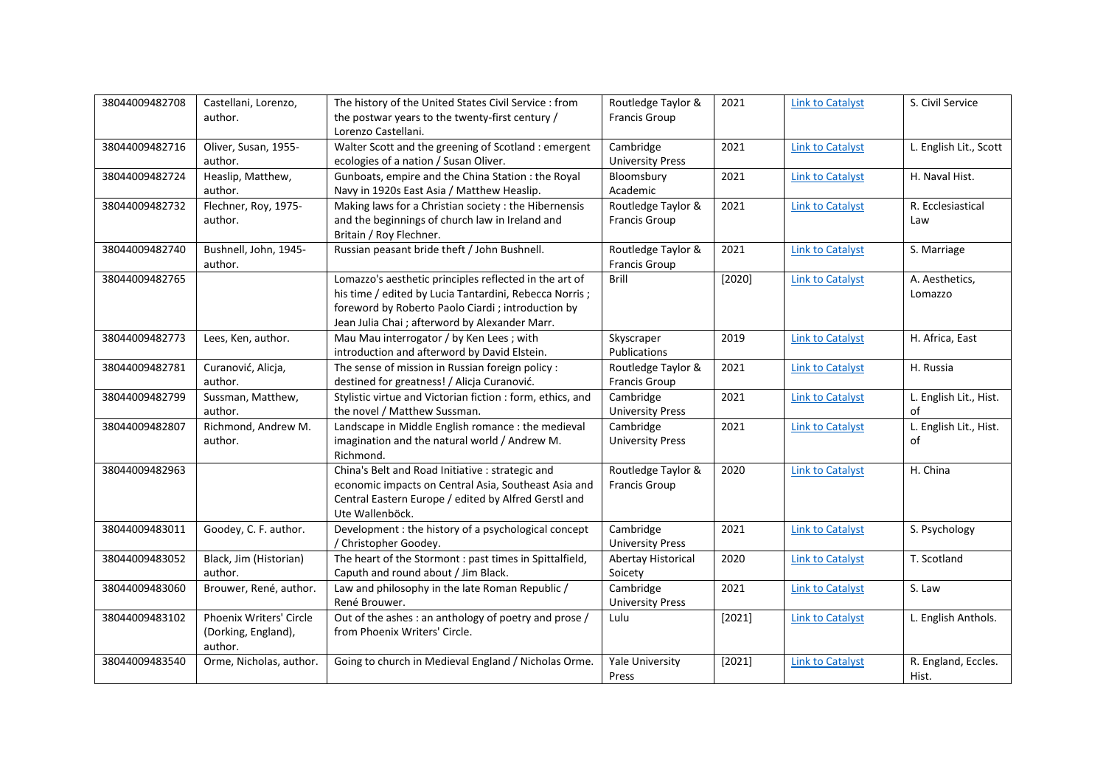| 38044009482708 | Castellani, Lorenzo,    | The history of the United States Civil Service : from      | Routledge Taylor &      | 2021   | <b>Link to Catalyst</b> | S. Civil Service       |
|----------------|-------------------------|------------------------------------------------------------|-------------------------|--------|-------------------------|------------------------|
|                | author.                 | the postwar years to the twenty-first century /            | <b>Francis Group</b>    |        |                         |                        |
|                |                         | Lorenzo Castellani.                                        |                         |        |                         |                        |
| 38044009482716 | Oliver, Susan, 1955-    | Walter Scott and the greening of Scotland : emergent       | Cambridge               | 2021   | <b>Link to Catalyst</b> | L. English Lit., Scott |
|                | author.                 | ecologies of a nation / Susan Oliver.                      | <b>University Press</b> |        |                         |                        |
| 38044009482724 | Heaslip, Matthew,       | Gunboats, empire and the China Station : the Royal         | Bloomsbury              | 2021   | <b>Link to Catalyst</b> | H. Naval Hist.         |
|                | author.                 | Navy in 1920s East Asia / Matthew Heaslip.                 | Academic                |        |                         |                        |
| 38044009482732 | Flechner, Roy, 1975-    | Making laws for a Christian society: the Hibernensis       | Routledge Taylor &      | 2021   | <b>Link to Catalyst</b> | R. Ecclesiastical      |
|                | author.                 | and the beginnings of church law in Ireland and            | <b>Francis Group</b>    |        |                         | Law                    |
|                |                         | Britain / Roy Flechner.                                    |                         |        |                         |                        |
| 38044009482740 | Bushnell, John, 1945-   | Russian peasant bride theft / John Bushnell.               | Routledge Taylor &      | 2021   | <b>Link to Catalyst</b> | S. Marriage            |
|                | author.                 |                                                            | <b>Francis Group</b>    |        |                         |                        |
| 38044009482765 |                         | Lomazzo's aesthetic principles reflected in the art of     | Brill                   | [2020] | <b>Link to Catalyst</b> | A. Aesthetics,         |
|                |                         | his time / edited by Lucia Tantardini, Rebecca Norris;     |                         |        |                         | Lomazzo                |
|                |                         | foreword by Roberto Paolo Ciardi; introduction by          |                         |        |                         |                        |
|                |                         | Jean Julia Chai ; afterword by Alexander Marr.             |                         |        |                         |                        |
| 38044009482773 | Lees, Ken, author.      | Mau Mau interrogator / by Ken Lees ; with                  | Skyscraper              | 2019   | <b>Link to Catalyst</b> | H. Africa, East        |
|                |                         |                                                            |                         |        |                         |                        |
|                |                         | introduction and afterword by David Elstein.               | Publications            |        |                         |                        |
| 38044009482781 | Curanović, Alicja,      | The sense of mission in Russian foreign policy :           | Routledge Taylor &      | 2021   | <b>Link to Catalyst</b> | H. Russia              |
|                | author.                 | destined for greatness! / Alicja Curanović.                | Francis Group           |        |                         |                        |
| 38044009482799 | Sussman, Matthew,       | Stylistic virtue and Victorian fiction : form, ethics, and | Cambridge               | 2021   | <b>Link to Catalyst</b> | L. English Lit., Hist. |
|                | author.                 | the novel / Matthew Sussman.                               | <b>University Press</b> |        |                         | of                     |
| 38044009482807 | Richmond, Andrew M.     | Landscape in Middle English romance : the medieval         | Cambridge               | 2021   | <b>Link to Catalyst</b> | L. English Lit., Hist. |
|                | author.                 | imagination and the natural world / Andrew M.              | <b>University Press</b> |        |                         | of                     |
|                |                         | Richmond.                                                  |                         |        |                         |                        |
| 38044009482963 |                         | China's Belt and Road Initiative : strategic and           | Routledge Taylor &      | 2020   | <b>Link to Catalyst</b> | H. China               |
|                |                         | economic impacts on Central Asia, Southeast Asia and       | <b>Francis Group</b>    |        |                         |                        |
|                |                         | Central Eastern Europe / edited by Alfred Gerstl and       |                         |        |                         |                        |
|                |                         | Ute Wallenböck.                                            |                         |        |                         |                        |
| 38044009483011 | Goodey, C. F. author.   | Development : the history of a psychological concept       | Cambridge               | 2021   | <b>Link to Catalyst</b> | S. Psychology          |
|                |                         | / Christopher Goodey.                                      | <b>University Press</b> |        |                         |                        |
| 38044009483052 | Black, Jim (Historian)  | The heart of the Stormont : past times in Spittalfield,    | Abertay Historical      | 2020   | <b>Link to Catalyst</b> | T. Scotland            |
|                | author.                 | Caputh and round about / Jim Black.                        | Soicety                 |        |                         |                        |
| 38044009483060 | Brouwer, René, author.  | Law and philosophy in the late Roman Republic /            | Cambridge               | 2021   | <b>Link to Catalyst</b> | S. Law                 |
|                |                         | René Brouwer.                                              | <b>University Press</b> |        |                         |                        |
| 38044009483102 | Phoenix Writers' Circle | Out of the ashes : an anthology of poetry and prose /      | Lulu                    | [2021] | <b>Link to Catalyst</b> | L. English Anthols.    |
|                |                         | from Phoenix Writers' Circle.                              |                         |        |                         |                        |
|                | (Dorking, England),     |                                                            |                         |        |                         |                        |
|                | author.                 |                                                            |                         |        |                         |                        |
| 38044009483540 | Orme, Nicholas, author. | Going to church in Medieval England / Nicholas Orme.       | Yale University         | [2021] | <b>Link to Catalyst</b> | R. England, Eccles.    |
|                |                         |                                                            | Press                   |        |                         | Hist.                  |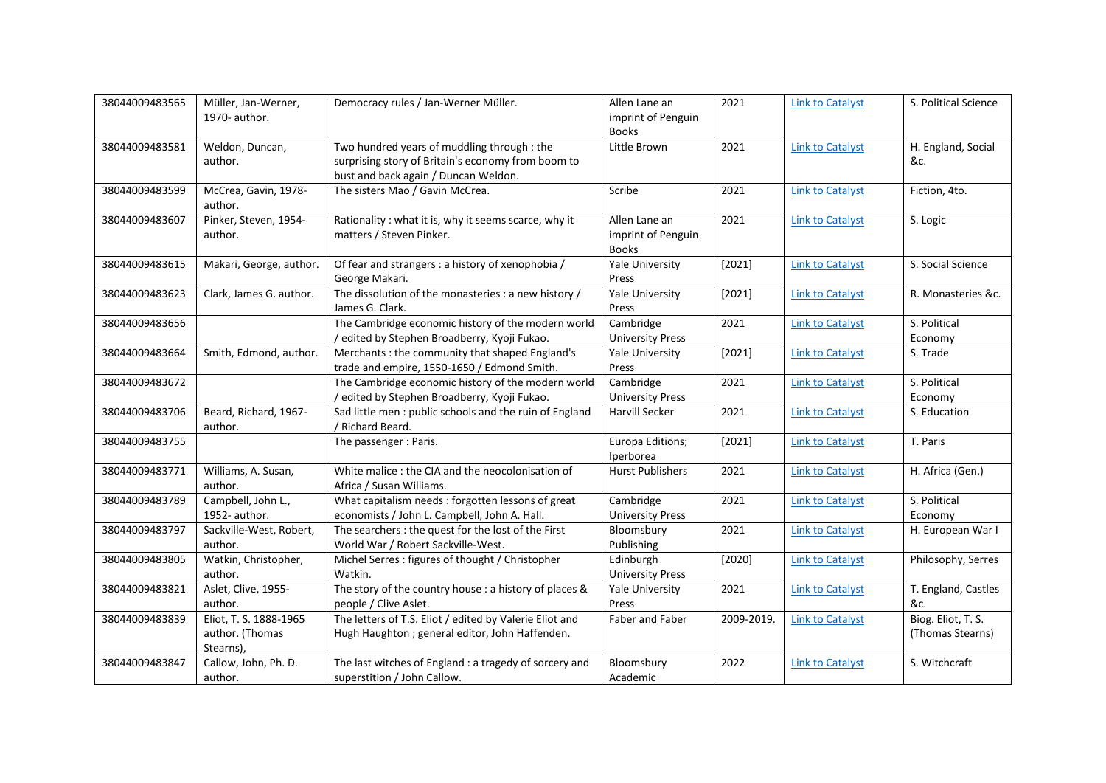| 38044009483565 | Müller, Jan-Werner,<br>1970- author.                   | Democracy rules / Jan-Werner Müller.                                                                                                      | Allen Lane an<br>imprint of Penguin<br><b>Books</b> | 2021       | <b>Link to Catalyst</b> | S. Political Science                   |
|----------------|--------------------------------------------------------|-------------------------------------------------------------------------------------------------------------------------------------------|-----------------------------------------------------|------------|-------------------------|----------------------------------------|
| 38044009483581 | Weldon, Duncan,<br>author.                             | Two hundred years of muddling through : the<br>surprising story of Britain's economy from boom to<br>bust and back again / Duncan Weldon. | Little Brown                                        | 2021       | <b>Link to Catalyst</b> | H. England, Social<br>&c.              |
| 38044009483599 | McCrea, Gavin, 1978-<br>author.                        | The sisters Mao / Gavin McCrea.                                                                                                           | Scribe                                              | 2021       | <b>Link to Catalyst</b> | Fiction, 4to.                          |
| 38044009483607 | Pinker, Steven, 1954-<br>author.                       | Rationality : what it is, why it seems scarce, why it<br>matters / Steven Pinker.                                                         | Allen Lane an<br>imprint of Penguin<br><b>Books</b> | 2021       | <b>Link to Catalyst</b> | S. Logic                               |
| 38044009483615 | Makari, George, author.                                | Of fear and strangers : a history of xenophobia /<br>George Makari.                                                                       | <b>Yale University</b><br>Press                     | [2021]     | <b>Link to Catalyst</b> | S. Social Science                      |
| 38044009483623 | Clark, James G. author.                                | The dissolution of the monasteries : a new history /<br>James G. Clark.                                                                   | <b>Yale University</b><br>Press                     | [2021]     | <b>Link to Catalyst</b> | R. Monasteries &c.                     |
| 38044009483656 |                                                        | The Cambridge economic history of the modern world<br>/ edited by Stephen Broadberry, Kyoji Fukao.                                        | Cambridge<br><b>University Press</b>                | 2021       | <b>Link to Catalyst</b> | S. Political<br>Economy                |
| 38044009483664 | Smith, Edmond, author.                                 | Merchants : the community that shaped England's<br>trade and empire, 1550-1650 / Edmond Smith.                                            | <b>Yale University</b><br>Press                     | [2021]     | <b>Link to Catalyst</b> | S. Trade                               |
| 38044009483672 |                                                        | The Cambridge economic history of the modern world<br>/ edited by Stephen Broadberry, Kyoji Fukao.                                        | Cambridge<br><b>University Press</b>                | 2021       | <b>Link to Catalyst</b> | S. Political<br>Economy                |
| 38044009483706 | Beard, Richard, 1967-<br>author.                       | Sad little men: public schools and the ruin of England<br>/ Richard Beard.                                                                | Harvill Secker                                      | 2021       | <b>Link to Catalyst</b> | S. Education                           |
| 38044009483755 |                                                        | The passenger : Paris.                                                                                                                    | Europa Editions;<br>Iperborea                       | [2021]     | <b>Link to Catalyst</b> | T. Paris                               |
| 38044009483771 | Williams, A. Susan,<br>author.                         | White malice: the CIA and the neocolonisation of<br>Africa / Susan Williams.                                                              | <b>Hurst Publishers</b>                             | 2021       | <b>Link to Catalyst</b> | H. Africa (Gen.)                       |
| 38044009483789 | Campbell, John L.,<br>1952- author.                    | What capitalism needs : forgotten lessons of great<br>economists / John L. Campbell, John A. Hall.                                        | Cambridge<br><b>University Press</b>                | 2021       | <b>Link to Catalyst</b> | S. Political<br>Economy                |
| 38044009483797 | Sackville-West, Robert,<br>author.                     | The searchers : the quest for the lost of the First<br>World War / Robert Sackville-West.                                                 | Bloomsbury<br>Publishing                            | 2021       | <b>Link to Catalyst</b> | H. European War I                      |
| 38044009483805 | Watkin, Christopher,<br>author.                        | Michel Serres : figures of thought / Christopher<br>Watkin.                                                                               | Edinburgh<br><b>University Press</b>                | [2020]     | <b>Link to Catalyst</b> | Philosophy, Serres                     |
| 38044009483821 | Aslet, Clive, 1955-<br>author.                         | The story of the country house : a history of places &<br>people / Clive Aslet.                                                           | Yale University<br>Press                            | 2021       | <b>Link to Catalyst</b> | T. England, Castles<br>&c.             |
| 38044009483839 | Eliot, T. S. 1888-1965<br>author. (Thomas<br>Stearns), | The letters of T.S. Eliot / edited by Valerie Eliot and<br>Hugh Haughton ; general editor, John Haffenden.                                | Faber and Faber                                     | 2009-2019. | <b>Link to Catalyst</b> | Biog. Eliot, T. S.<br>(Thomas Stearns) |
| 38044009483847 | Callow, John, Ph. D.<br>author.                        | The last witches of England : a tragedy of sorcery and<br>superstition / John Callow.                                                     | Bloomsbury<br>Academic                              | 2022       | <b>Link to Catalyst</b> | S. Witchcraft                          |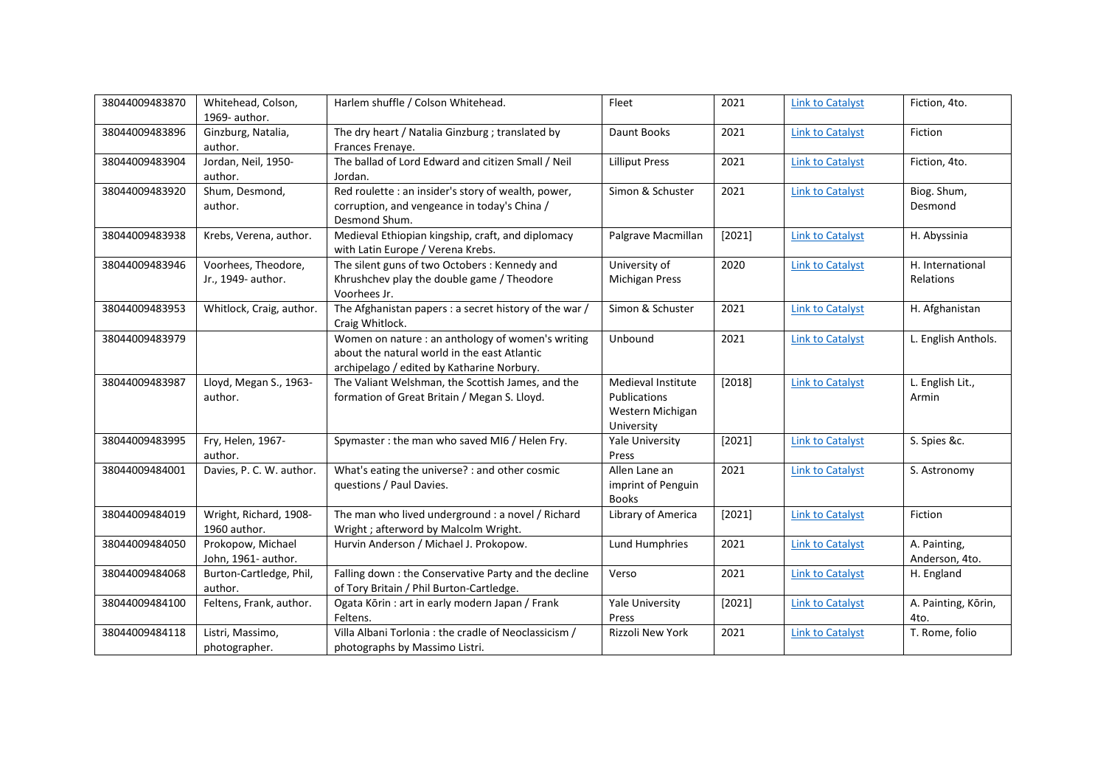| 38044009483870 | Whitehead, Colson,<br>1969- author.       | Harlem shuffle / Colson Whitehead.                                                                                                              | Fleet                                                                       | 2021     | <b>Link to Catalyst</b> | Fiction, 4to.                        |
|----------------|-------------------------------------------|-------------------------------------------------------------------------------------------------------------------------------------------------|-----------------------------------------------------------------------------|----------|-------------------------|--------------------------------------|
| 38044009483896 | Ginzburg, Natalia,<br>author.             | The dry heart / Natalia Ginzburg ; translated by<br>Frances Frenaye.                                                                            | Daunt Books                                                                 | 2021     | <b>Link to Catalyst</b> | Fiction                              |
| 38044009483904 | Jordan, Neil, 1950-<br>author.            | The ballad of Lord Edward and citizen Small / Neil<br>Jordan.                                                                                   | <b>Lilliput Press</b>                                                       | 2021     | <b>Link to Catalyst</b> | Fiction, 4to.                        |
| 38044009483920 | Shum, Desmond,<br>author.                 | Red roulette : an insider's story of wealth, power,<br>corruption, and vengeance in today's China /<br>Desmond Shum.                            | Simon & Schuster                                                            | 2021     | <b>Link to Catalyst</b> | Biog. Shum,<br>Desmond               |
| 38044009483938 | Krebs, Verena, author.                    | Medieval Ethiopian kingship, craft, and diplomacy<br>with Latin Europe / Verena Krebs.                                                          | Palgrave Macmillan                                                          | [2021]   | <b>Link to Catalyst</b> | H. Abyssinia                         |
| 38044009483946 | Voorhees, Theodore,<br>Jr., 1949- author. | The silent guns of two Octobers: Kennedy and<br>Khrushchev play the double game / Theodore<br>Voorhees Jr.                                      | University of<br><b>Michigan Press</b>                                      | 2020     | <b>Link to Catalyst</b> | H. International<br><b>Relations</b> |
| 38044009483953 | Whitlock, Craig, author.                  | The Afghanistan papers : a secret history of the war /<br>Craig Whitlock.                                                                       | Simon & Schuster                                                            | 2021     | <b>Link to Catalyst</b> | H. Afghanistan                       |
| 38044009483979 |                                           | Women on nature : an anthology of women's writing<br>about the natural world in the east Atlantic<br>archipelago / edited by Katharine Norbury. | Unbound                                                                     | 2021     | <b>Link to Catalyst</b> | L. English Anthols.                  |
| 38044009483987 | Lloyd, Megan S., 1963-<br>author.         | The Valiant Welshman, the Scottish James, and the<br>formation of Great Britain / Megan S. Lloyd.                                               | Medieval Institute<br><b>Publications</b><br>Western Michigan<br>University | $[2018]$ | <b>Link to Catalyst</b> | L. English Lit.,<br>Armin            |
| 38044009483995 | Fry, Helen, 1967-<br>author.              | Spymaster: the man who saved MI6 / Helen Fry.                                                                                                   | Yale University<br>Press                                                    | [2021]   | <b>Link to Catalyst</b> | S. Spies &c.                         |
| 38044009484001 | Davies, P. C. W. author.                  | What's eating the universe? : and other cosmic<br>questions / Paul Davies.                                                                      | Allen Lane an<br>imprint of Penguin<br><b>Books</b>                         | 2021     | <b>Link to Catalyst</b> | S. Astronomy                         |
| 38044009484019 | Wright, Richard, 1908-<br>1960 author.    | The man who lived underground : a novel / Richard<br>Wright; afterword by Malcolm Wright.                                                       | Library of America                                                          | [2021]   | <b>Link to Catalyst</b> | Fiction                              |
| 38044009484050 | Prokopow, Michael<br>John, 1961- author.  | Hurvin Anderson / Michael J. Prokopow.                                                                                                          | <b>Lund Humphries</b>                                                       | 2021     | <b>Link to Catalyst</b> | A. Painting,<br>Anderson, 4to.       |
| 38044009484068 | Burton-Cartledge, Phil,<br>author.        | Falling down : the Conservative Party and the decline<br>of Tory Britain / Phil Burton-Cartledge.                                               | Verso                                                                       | 2021     | <b>Link to Catalyst</b> | H. England                           |
| 38044009484100 | Feltens, Frank, author.                   | Ogata Kōrin : art in early modern Japan / Frank<br>Feltens.                                                                                     | Yale University<br>Press                                                    | [2021]   | <b>Link to Catalyst</b> | A. Painting, Kōrin,<br>4to.          |
| 38044009484118 | Listri, Massimo,<br>photographer.         | Villa Albani Torlonia : the cradle of Neoclassicism /<br>photographs by Massimo Listri.                                                         | Rizzoli New York                                                            | 2021     | <b>Link to Catalyst</b> | T. Rome, folio                       |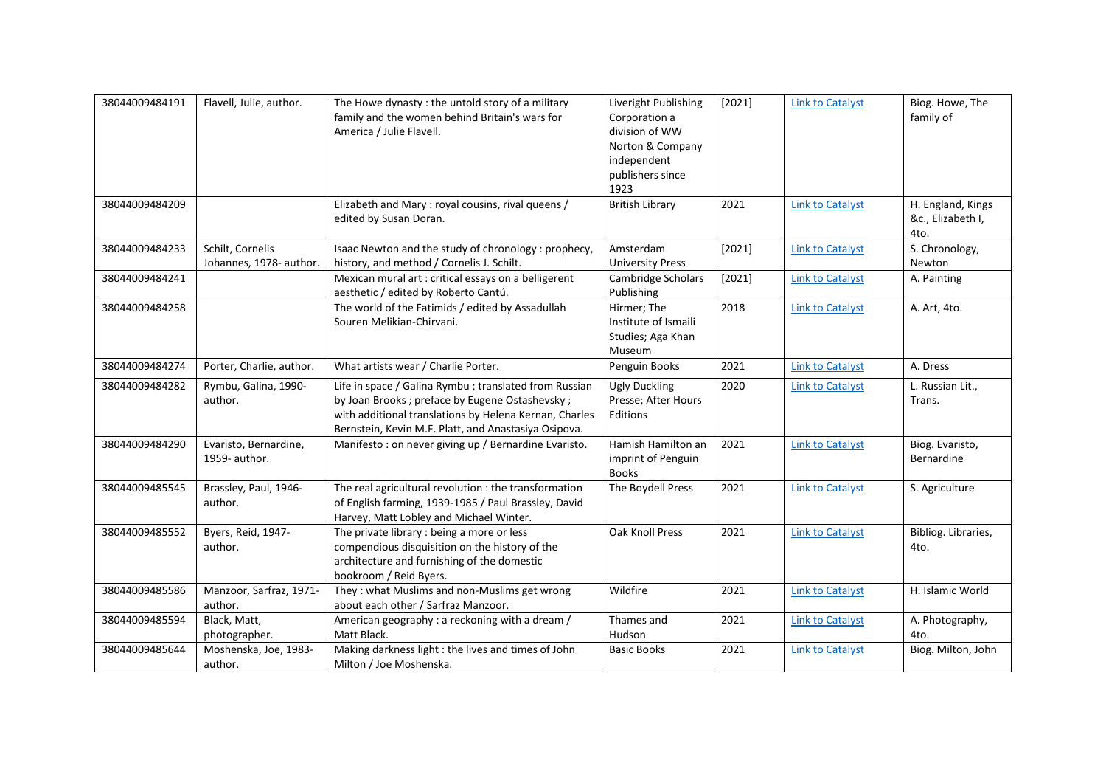| 38044009484191 | Flavell, Julie, author.                     | The Howe dynasty: the untold story of a military<br>family and the women behind Britain's wars for<br>America / Julie Flavell.                                                                                             | Liveright Publishing<br>Corporation a<br>division of WW<br>Norton & Company<br>independent<br>publishers since<br>1923 | [2021] | <b>Link to Catalyst</b> | Biog. Howe, The<br>family of                   |
|----------------|---------------------------------------------|----------------------------------------------------------------------------------------------------------------------------------------------------------------------------------------------------------------------------|------------------------------------------------------------------------------------------------------------------------|--------|-------------------------|------------------------------------------------|
| 38044009484209 |                                             | Elizabeth and Mary: royal cousins, rival queens /<br>edited by Susan Doran.                                                                                                                                                | <b>British Library</b>                                                                                                 | 2021   | <b>Link to Catalyst</b> | H. England, Kings<br>&c., Elizabeth I,<br>4to. |
| 38044009484233 | Schilt, Cornelis<br>Johannes, 1978- author. | Isaac Newton and the study of chronology : prophecy,<br>history, and method / Cornelis J. Schilt.                                                                                                                          | Amsterdam<br><b>University Press</b>                                                                                   | [2021] | <b>Link to Catalyst</b> | S. Chronology,<br>Newton                       |
| 38044009484241 |                                             | Mexican mural art : critical essays on a belligerent<br>aesthetic / edited by Roberto Cantú.                                                                                                                               | Cambridge Scholars<br>Publishing                                                                                       | [2021] | <b>Link to Catalyst</b> | A. Painting                                    |
| 38044009484258 |                                             | The world of the Fatimids / edited by Assadullah<br>Souren Melikian-Chirvani.                                                                                                                                              | Hirmer; The<br>Institute of Ismaili<br>Studies; Aga Khan<br>Museum                                                     | 2018   | <b>Link to Catalyst</b> | A. Art, 4to.                                   |
| 38044009484274 | Porter, Charlie, author.                    | What artists wear / Charlie Porter.                                                                                                                                                                                        | Penguin Books                                                                                                          | 2021   | <b>Link to Catalyst</b> | A. Dress                                       |
| 38044009484282 | Rymbu, Galina, 1990-<br>author.             | Life in space / Galina Rymbu ; translated from Russian<br>by Joan Brooks; preface by Eugene Ostashevsky;<br>with additional translations by Helena Kernan, Charles<br>Bernstein, Kevin M.F. Platt, and Anastasiya Osipova. | <b>Ugly Duckling</b><br>Presse; After Hours<br>Editions                                                                | 2020   | <b>Link to Catalyst</b> | L. Russian Lit.,<br>Trans.                     |
| 38044009484290 | Evaristo, Bernardine,<br>1959- author.      | Manifesto : on never giving up / Bernardine Evaristo.                                                                                                                                                                      | Hamish Hamilton an<br>imprint of Penguin<br><b>Books</b>                                                               | 2021   | <b>Link to Catalyst</b> | Biog. Evaristo,<br>Bernardine                  |
| 38044009485545 | Brassley, Paul, 1946-<br>author.            | The real agricultural revolution : the transformation<br>of English farming, 1939-1985 / Paul Brassley, David<br>Harvey, Matt Lobley and Michael Winter.                                                                   | The Boydell Press                                                                                                      | 2021   | <b>Link to Catalyst</b> | S. Agriculture                                 |
| 38044009485552 | Byers, Reid, 1947-<br>author.               | The private library : being a more or less<br>compendious disquisition on the history of the<br>architecture and furnishing of the domestic<br>bookroom / Reid Byers.                                                      | Oak Knoll Press                                                                                                        | 2021   | <b>Link to Catalyst</b> | Bibliog. Libraries,<br>4to.                    |
| 38044009485586 | Manzoor, Sarfraz, 1971-<br>author.          | They: what Muslims and non-Muslims get wrong<br>about each other / Sarfraz Manzoor.                                                                                                                                        | Wildfire                                                                                                               | 2021   | <b>Link to Catalyst</b> | H. Islamic World                               |
| 38044009485594 | Black, Matt,<br>photographer.               | American geography: a reckoning with a dream /<br>Matt Black.                                                                                                                                                              | Thames and<br>Hudson                                                                                                   | 2021   | <b>Link to Catalyst</b> | A. Photography,<br>4to.                        |
| 38044009485644 | Moshenska, Joe, 1983-<br>author.            | Making darkness light : the lives and times of John<br>Milton / Joe Moshenska.                                                                                                                                             | <b>Basic Books</b>                                                                                                     | 2021   | <b>Link to Catalyst</b> | Biog. Milton, John                             |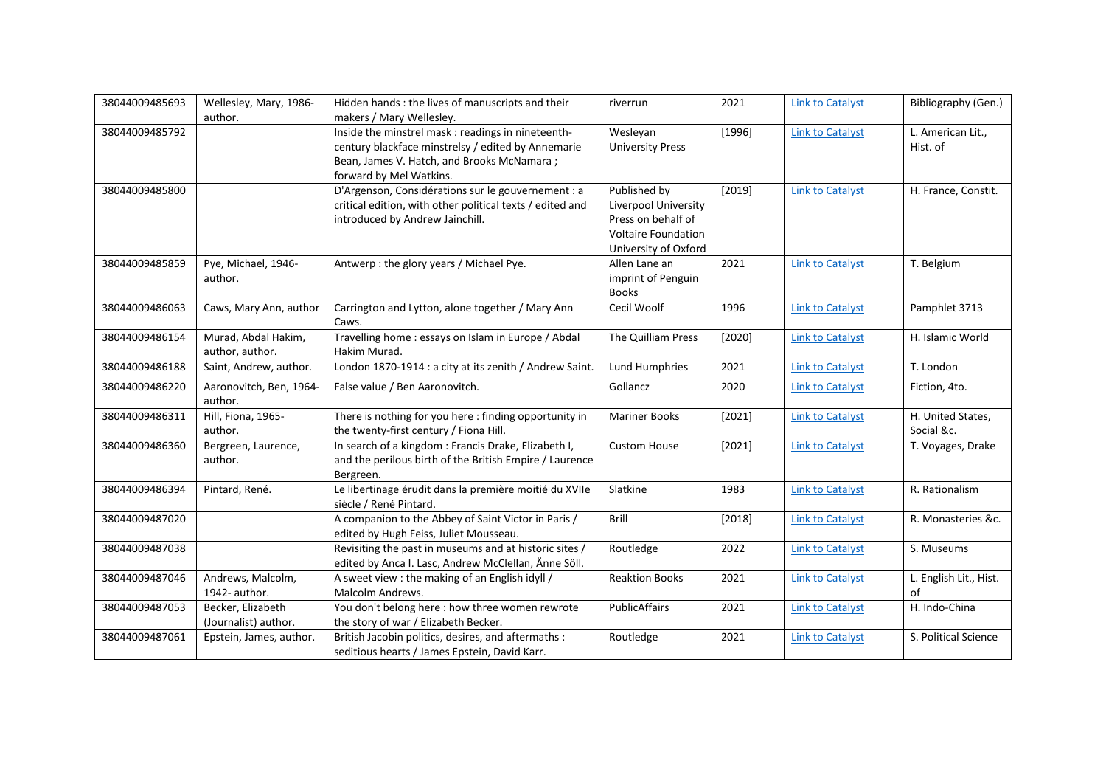| 38044009485693 | Wellesley, Mary, 1986-<br>author.         | Hidden hands: the lives of manuscripts and their<br>makers / Mary Wellesley.                                                                                                      | riverrun                                                                                                         | 2021   | <b>Link to Catalyst</b> | Bibliography (Gen.)             |
|----------------|-------------------------------------------|-----------------------------------------------------------------------------------------------------------------------------------------------------------------------------------|------------------------------------------------------------------------------------------------------------------|--------|-------------------------|---------------------------------|
| 38044009485792 |                                           | Inside the minstrel mask : readings in nineteenth-<br>century blackface minstrelsy / edited by Annemarie<br>Bean, James V. Hatch, and Brooks McNamara;<br>forward by Mel Watkins. | Wesleyan<br><b>University Press</b>                                                                              | [1996] | <b>Link to Catalyst</b> | L. American Lit.,<br>Hist. of   |
| 38044009485800 |                                           | D'Argenson, Considérations sur le gouvernement : a<br>critical edition, with other political texts / edited and<br>introduced by Andrew Jainchill.                                | Published by<br>Liverpool University<br>Press on behalf of<br><b>Voltaire Foundation</b><br>University of Oxford | [2019] | <b>Link to Catalyst</b> | H. France, Constit.             |
| 38044009485859 | Pye, Michael, 1946-<br>author.            | Antwerp: the glory years / Michael Pye.                                                                                                                                           | Allen Lane an<br>imprint of Penguin<br><b>Books</b>                                                              | 2021   | <b>Link to Catalyst</b> | T. Belgium                      |
| 38044009486063 | Caws, Mary Ann, author                    | Carrington and Lytton, alone together / Mary Ann<br>Caws.                                                                                                                         | Cecil Woolf                                                                                                      | 1996   | <b>Link to Catalyst</b> | Pamphlet 3713                   |
| 38044009486154 | Murad, Abdal Hakim,<br>author, author.    | Travelling home : essays on Islam in Europe / Abdal<br>Hakim Murad.                                                                                                               | The Quilliam Press                                                                                               | [2020] | <b>Link to Catalyst</b> | H. Islamic World                |
| 38044009486188 | Saint, Andrew, author.                    | London 1870-1914 : a city at its zenith / Andrew Saint.                                                                                                                           | Lund Humphries                                                                                                   | 2021   | <b>Link to Catalyst</b> | T. London                       |
| 38044009486220 | Aaronovitch, Ben, 1964-<br>author.        | False value / Ben Aaronovitch.                                                                                                                                                    | Gollancz                                                                                                         | 2020   | <b>Link to Catalyst</b> | Fiction, 4to.                   |
| 38044009486311 | Hill, Fiona, 1965-<br>author.             | There is nothing for you here: finding opportunity in<br>the twenty-first century / Fiona Hill.                                                                                   | <b>Mariner Books</b>                                                                                             | [2021] | <b>Link to Catalyst</b> | H. United States,<br>Social &c. |
| 38044009486360 | Bergreen, Laurence,<br>author.            | In search of a kingdom : Francis Drake, Elizabeth I,<br>and the perilous birth of the British Empire / Laurence<br>Bergreen.                                                      | <b>Custom House</b>                                                                                              | [2021] | <b>Link to Catalyst</b> | T. Voyages, Drake               |
| 38044009486394 | Pintard, René.                            | Le libertinage érudit dans la première moitié du XVIIe<br>siècle / René Pintard.                                                                                                  | Slatkine                                                                                                         | 1983   | <b>Link to Catalyst</b> | R. Rationalism                  |
| 38044009487020 |                                           | A companion to the Abbey of Saint Victor in Paris /<br>edited by Hugh Feiss, Juliet Mousseau.                                                                                     | Brill                                                                                                            | [2018] | <b>Link to Catalyst</b> | R. Monasteries &c.              |
| 38044009487038 |                                           | Revisiting the past in museums and at historic sites /<br>edited by Anca I. Lasc, Andrew McClellan, Änne Söll.                                                                    | Routledge                                                                                                        | 2022   | <b>Link to Catalyst</b> | S. Museums                      |
| 38044009487046 | Andrews, Malcolm,<br>1942- author.        | A sweet view : the making of an English idyll /<br>Malcolm Andrews.                                                                                                               | <b>Reaktion Books</b>                                                                                            | 2021   | <b>Link to Catalyst</b> | L. English Lit., Hist.<br>of    |
| 38044009487053 | Becker, Elizabeth<br>(Journalist) author. | You don't belong here : how three women rewrote<br>the story of war / Elizabeth Becker.                                                                                           | PublicAffairs                                                                                                    | 2021   | <b>Link to Catalyst</b> | H. Indo-China                   |
| 38044009487061 | Epstein, James, author.                   | British Jacobin politics, desires, and aftermaths :<br>seditious hearts / James Epstein, David Karr.                                                                              | Routledge                                                                                                        | 2021   | <b>Link to Catalyst</b> | S. Political Science            |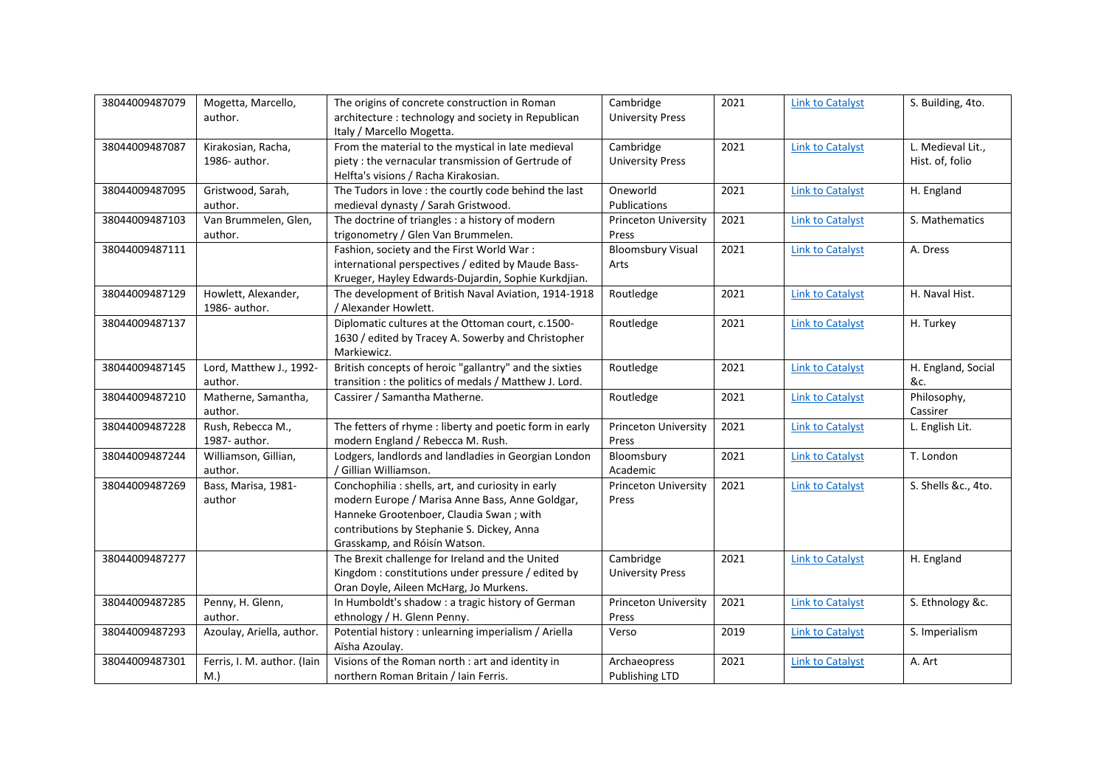| 38044009487079 | Mogetta, Marcello,          | The origins of concrete construction in Roman           | Cambridge                   | 2021 | <b>Link to Catalyst</b> | S. Building, 4to.   |
|----------------|-----------------------------|---------------------------------------------------------|-----------------------------|------|-------------------------|---------------------|
|                | author.                     | architecture: technology and society in Republican      | <b>University Press</b>     |      |                         |                     |
|                |                             | Italy / Marcello Mogetta.                               |                             |      |                         |                     |
| 38044009487087 | Kirakosian, Racha,          | From the material to the mystical in late medieval      | Cambridge                   | 2021 | <b>Link to Catalyst</b> | L. Medieval Lit.,   |
|                | 1986- author.               | piety : the vernacular transmission of Gertrude of      | <b>University Press</b>     |      |                         | Hist. of, folio     |
|                |                             | Helfta's visions / Racha Kirakosian.                    |                             |      |                         |                     |
| 38044009487095 | Gristwood, Sarah,           | The Tudors in love : the courtly code behind the last   | Oneworld                    | 2021 | <b>Link to Catalyst</b> | H. England          |
|                | author.                     | medieval dynasty / Sarah Gristwood.                     | Publications                |      |                         |                     |
| 38044009487103 | Van Brummelen, Glen,        | The doctrine of triangles : a history of modern         | Princeton University        | 2021 | <b>Link to Catalyst</b> | S. Mathematics      |
|                | author.                     | trigonometry / Glen Van Brummelen.                      | Press                       |      |                         |                     |
| 38044009487111 |                             | Fashion, society and the First World War:               | <b>Bloomsbury Visual</b>    | 2021 | <b>Link to Catalyst</b> | A. Dress            |
|                |                             | international perspectives / edited by Maude Bass-      | Arts                        |      |                         |                     |
|                |                             | Krueger, Hayley Edwards-Dujardin, Sophie Kurkdjian.     |                             |      |                         |                     |
| 38044009487129 | Howlett, Alexander,         | The development of British Naval Aviation, 1914-1918    | Routledge                   | 2021 | <b>Link to Catalyst</b> | H. Naval Hist.      |
|                | 1986- author.               | / Alexander Howlett.                                    |                             |      |                         |                     |
| 38044009487137 |                             | Diplomatic cultures at the Ottoman court, c.1500-       | Routledge                   | 2021 | <b>Link to Catalyst</b> | H. Turkey           |
|                |                             | 1630 / edited by Tracey A. Sowerby and Christopher      |                             |      |                         |                     |
|                |                             | Markiewicz.                                             |                             |      |                         |                     |
| 38044009487145 | Lord, Matthew J., 1992-     | British concepts of heroic "gallantry" and the sixties  | Routledge                   | 2021 | <b>Link to Catalyst</b> | H. England, Social  |
|                | author.                     | transition : the politics of medals / Matthew J. Lord.  |                             |      |                         | &c.                 |
| 38044009487210 | Matherne, Samantha,         | Cassirer / Samantha Matherne.                           | Routledge                   | 2021 | <b>Link to Catalyst</b> | Philosophy,         |
|                |                             |                                                         |                             |      |                         |                     |
|                | author.                     |                                                         |                             |      |                         | Cassirer            |
| 38044009487228 | Rush, Rebecca M.,           | The fetters of rhyme : liberty and poetic form in early | Princeton University        | 2021 | <b>Link to Catalyst</b> | L. English Lit.     |
|                | 1987- author.               | modern England / Rebecca M. Rush.                       | Press                       |      |                         |                     |
| 38044009487244 | Williamson, Gillian,        | Lodgers, landlords and landladies in Georgian London    | Bloomsbury                  | 2021 | <b>Link to Catalyst</b> | T. London           |
|                | author.                     | / Gillian Williamson.                                   | Academic                    |      |                         |                     |
| 38044009487269 | Bass, Marisa, 1981-         | Conchophilia: shells, art, and curiosity in early       | <b>Princeton University</b> | 2021 | <b>Link to Catalyst</b> | S. Shells &c., 4to. |
|                | author                      | modern Europe / Marisa Anne Bass, Anne Goldgar,         | Press                       |      |                         |                     |
|                |                             | Hanneke Grootenboer, Claudia Swan; with                 |                             |      |                         |                     |
|                |                             | contributions by Stephanie S. Dickey, Anna              |                             |      |                         |                     |
|                |                             | Grasskamp, and Róisín Watson.                           |                             |      |                         |                     |
| 38044009487277 |                             | The Brexit challenge for Ireland and the United         | Cambridge                   | 2021 | <b>Link to Catalyst</b> | H. England          |
|                |                             | Kingdom: constitutions under pressure / edited by       | <b>University Press</b>     |      |                         |                     |
|                |                             | Oran Doyle, Aileen McHarg, Jo Murkens.                  |                             |      |                         |                     |
| 38044009487285 | Penny, H. Glenn,            | In Humboldt's shadow : a tragic history of German       | <b>Princeton University</b> | 2021 | <b>Link to Catalyst</b> | S. Ethnology &c.    |
|                | author.                     | ethnology / H. Glenn Penny.                             | Press                       |      |                         |                     |
| 38044009487293 | Azoulay, Ariella, author.   | Potential history : unlearning imperialism / Ariella    | Verso                       | 2019 | <b>Link to Catalyst</b> | S. Imperialism      |
|                |                             | Aïsha Azoulay.                                          |                             |      |                         |                     |
| 38044009487301 | Ferris, I. M. author. (Iain | Visions of the Roman north : art and identity in        | Archaeopress                | 2021 | <b>Link to Catalyst</b> | A. Art              |